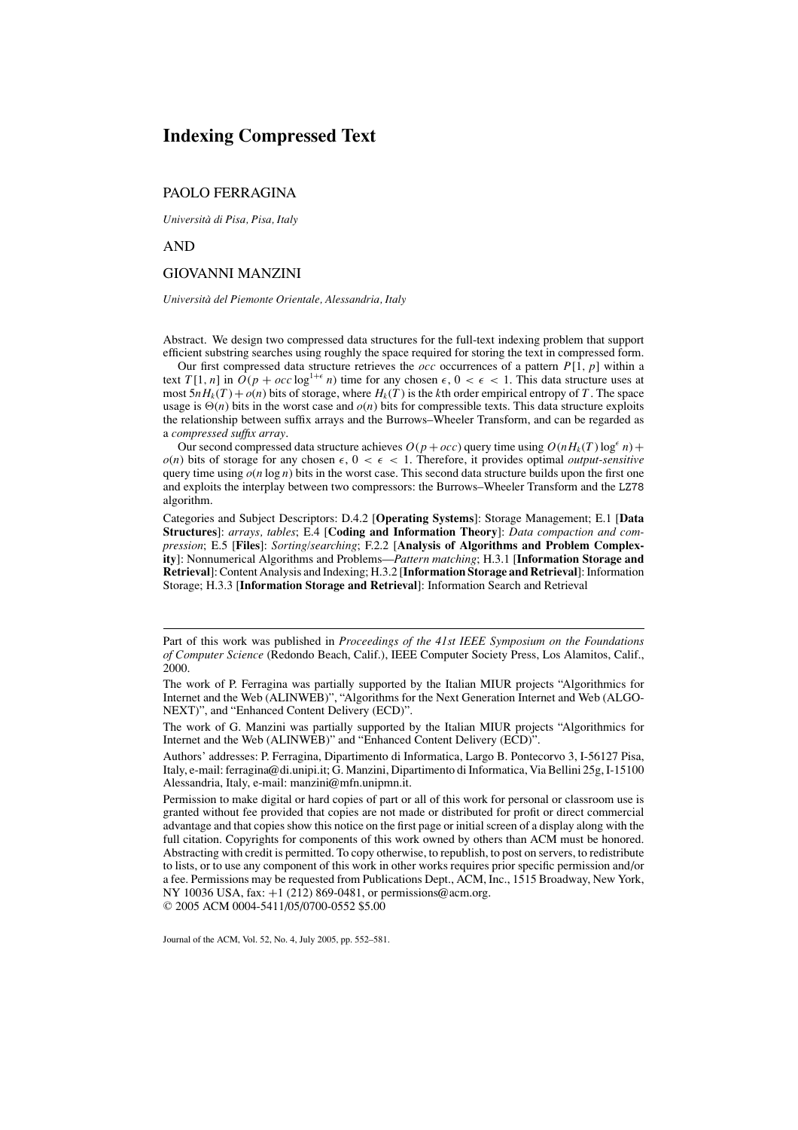# **Indexing Compressed Text**

## PAOLO FERRAGINA

*Universita d ` i Pisa, Pisa, Italy*

AND

## GIOVANNI MANZINI

#### *Universita` del Piemonte Orientale, Alessandria, Italy*

Abstract. We design two compressed data structures for the full-text indexing problem that support efficient substring searches using roughly the space required for storing the text in compressed form.

Our first compressed data structure retrieves the *occ* occurrences of a pattern *P*[1, *p*] within a text  $T[1, n]$  in  $O(p + occ \log^{1+\epsilon} n)$  time for any chosen  $\epsilon, 0 < \epsilon < 1$ . This data structure uses at most  $5nH_k(T) + o(n)$  bits of storage, where  $H_k(T)$  is the *k*th order empirical entropy of *T*. The space usage is  $\Theta(n)$  bits in the worst case and  $o(n)$  bits for compressible texts. This data structure exploits the relationship between suffix arrays and the Burrows–Wheeler Transform, and can be regarded as a *compressed suffix array*.

Our second compressed data structure achieves  $O(p + occ)$  query time using  $O(nH_k(T) \log^{\epsilon} n)$  +  $o(n)$  bits of storage for any chosen  $\epsilon$ ,  $0 < \epsilon < 1$ . Therefore, it provides optimal *output-sensitive* query time using  $o(n \log n)$  bits in the worst case. This second data structure builds upon the first one and exploits the interplay between two compressors: the Burrows–Wheeler Transform and the LZ78 algorithm.

Categories and Subject Descriptors: D.4.2 [**Operating Systems**]: Storage Management; E.1 [**Data Structures**]: *arrays, tables*; E.4 [**Coding and Information Theory**]: *Data compaction and compression*; E.5 [**Files**]: *Sorting/searching*; F.2.2 [**Analysis of Algorithms and Problem Complexity**]: Nonnumerical Algorithms and Problems—*Pattern matching*; H.3.1 [**Information Storage and Retrieval**]: Content Analysis and Indexing; H.3.2 [**Information Storage and Retrieval**]: Information Storage; H.3.3 [**Information Storage and Retrieval**]: Information Search and Retrieval

Journal of the ACM, Vol. 52, No. 4, July 2005, pp. 552–581.

Part of this work was published in *Proceedings of the 41st IEEE Symposium on the Foundations of Computer Science* (Redondo Beach, Calif.), IEEE Computer Society Press, Los Alamitos, Calif., 2000.

The work of P. Ferragina was partially supported by the Italian MIUR projects "Algorithmics for Internet and the Web (ALINWEB)", "Algorithms for the Next Generation Internet and Web (ALGO-NEXT)", and "Enhanced Content Delivery (ECD)".

The work of G. Manzini was partially supported by the Italian MIUR projects "Algorithmics for Internet and the Web (ALINWEB)" and "Enhanced Content Delivery (ECD)".

Authors' addresses: P. Ferragina, Dipartimento di Informatica, Largo B. Pontecorvo 3, I-56127 Pisa, Italy, e-mail: ferragina@di.unipi.it; G. Manzini, Dipartimento di Informatica, Via Bellini 25g, I-15100 Alessandria, Italy, e-mail: manzini@mfn.unipmn.it.

Permission to make digital or hard copies of part or all of this work for personal or classroom use is granted without fee provided that copies are not made or distributed for profit or direct commercial advantage and that copies show this notice on the first page or initial screen of a display along with the full citation. Copyrights for components of this work owned by others than ACM must be honored. Abstracting with credit is permitted. To copy otherwise, to republish, to post on servers, to redistribute to lists, or to use any component of this work in other works requires prior specific permission and/or a fee. Permissions may be requested from Publications Dept., ACM, Inc., 1515 Broadway, New York, NY 10036 USA, fax:  $+1$  (212) 869-0481, or permissions@acm.org. <sup>C</sup> 2005 ACM 0004-5411/05/0700-0552 \$5.00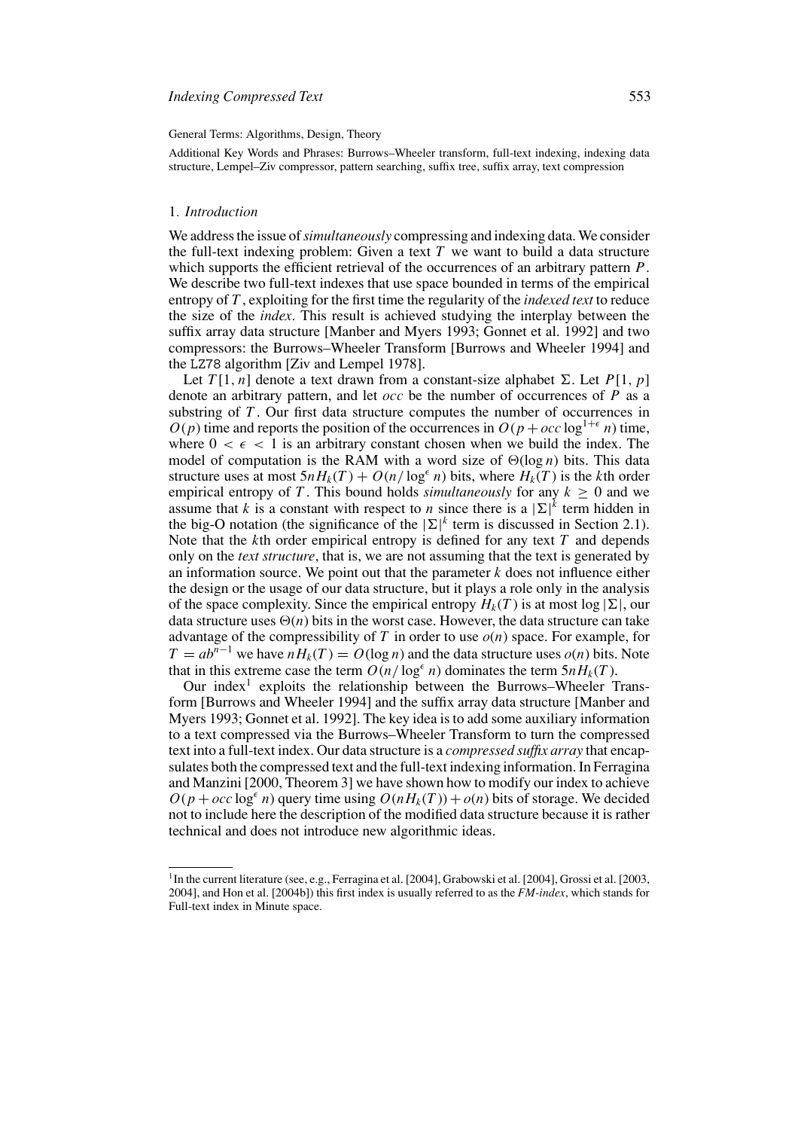#### General Terms: Algorithms, Design, Theory

Additional Key Words and Phrases: Burrows–Wheeler transform, full-text indexing, indexing data structure, Lempel–Ziv compressor, pattern searching, suffix tree, suffix array, text compression

## 1*. Introduction*

We address the issue of*simultaneously* compressing and indexing data. We consider the full-text indexing problem: Given a text *T* we want to build a data structure which supports the efficient retrieval of the occurrences of an arbitrary pattern *P*. We describe two full-text indexes that use space bounded in terms of the empirical entropy of *T* , exploiting for the first time the regularity of the *indexed text* to reduce the size of the *index*. This result is achieved studying the interplay between the suffix array data structure [Manber and Myers 1993; Gonnet et al. 1992] and two compressors: the Burrows–Wheeler Transform [Burrows and Wheeler 1994] and the LZ78 algorithm [Ziv and Lempel 1978].

Let  $T[1, n]$  denote a text drawn from a constant-size alphabet  $\Sigma$ . Let  $P[1, p]$ denote an arbitrary pattern, and let  $\overline{occ}$  be the number of occurrences of  $\overline{P}$  as a substring of *T* . Our first data structure computes the number of occurrences in  $O(p)$  time and reports the position of the occurrences in  $O(p + occ \log^{1+\epsilon} n)$  time, where  $0 < \epsilon < 1$  is an arbitrary constant chosen when we build the index. The model of computation is the RAM with a word size of  $\Theta(\log n)$  bits. This data structure uses at most  $5nH_k(T) + O(n/\log^{\epsilon} n)$  bits, where  $H_k(T)$  is the *k*th order empirical entropy of *T*. This bound holds *simultaneously* for any  $k > 0$  and we assume that *k* is a constant with respect to *n* since there is a  $|\Sigma|^k$  term hidden in the big-O notation (the significance of the  $|\Sigma|^k$  term is discussed in Section 2.1). Note that the *k*th order empirical entropy is defined for any text *T* and depends only on the *text structure*, that is, we are not assuming that the text is generated by an information source. We point out that the parameter *k* does not influence either the design or the usage of our data structure, but it plays a role only in the analysis of the space complexity. Since the empirical entropy  $H_k(T)$  is at most  $log |\Sigma|$ , our data structure uses  $\Theta(n)$  bits in the worst case. However, the data structure can take advantage of the compressibility of *T* in order to use *o*(*n*) space. For example, for  $T = ab^{n-1}$  we have  $nH_k(T) = O(\log n)$  and the data structure uses  $o(n)$  bits. Note that in this extreme case the term  $O(n/\log^{\epsilon} n)$  dominates the term  $5nH_k(T)$ .

Our index<sup>1</sup> exploits the relationship between the Burrows–Wheeler Transform [Burrows and Wheeler 1994] and the suffix array data structure [Manber and Myers 1993; Gonnet et al. 1992]. The key idea is to add some auxiliary information to a text compressed via the Burrows–Wheeler Transform to turn the compressed text into a full-text index. Our data structure is a *compressed suffix array* that encapsulates both the compressed text and the full-text indexing information. In Ferragina and Manzini [2000, Theorem 3] we have shown how to modify our index to achieve  $O(p + occ \log^{\epsilon} n)$  query time using  $O(nH_k(T)) + o(n)$  bits of storage. We decided not to include here the description of the modified data structure because it is rather technical and does not introduce new algorithmic ideas.

<sup>&</sup>lt;sup>1</sup>In the current literature (see, e.g., Ferragina et al. [2004], Grabowski et al. [2004], Grossi et al. [2003, 2004], and Hon et al. [2004b]) this first index is usually referred to as the *FM-index*, which stands for Full-text index in Minute space.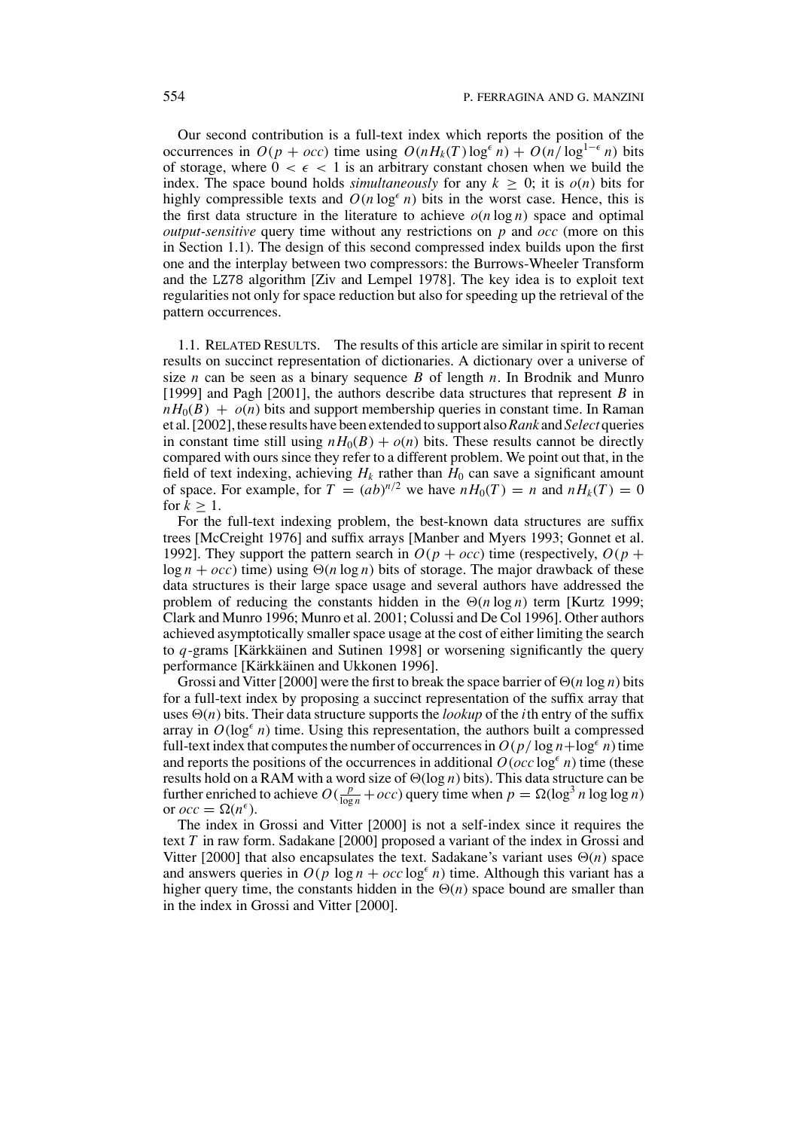Our second contribution is a full-text index which reports the position of the occurrences in  $O(p + occ)$  time using  $O(nH_k(T) \log^{\epsilon} n) + O(n/\log^{1-\epsilon} n)$  bits of storage, where  $0 < \epsilon < 1$  is an arbitrary constant chosen when we build the index. The space bound holds *simultaneously* for any  $k \geq 0$ ; it is  $o(n)$  bits for highly compressible texts and  $O(n \log^{\epsilon} n)$  bits in the worst case. Hence, this is the first data structure in the literature to achieve  $o(n \log n)$  space and optimal *output-sensitive* query time without any restrictions on *p* and *occ* (more on this in Section 1.1). The design of this second compressed index builds upon the first one and the interplay between two compressors: the Burrows-Wheeler Transform and the LZ78 algorithm [Ziv and Lempel 1978]. The key idea is to exploit text regularities not only for space reduction but also for speeding up the retrieval of the pattern occurrences.

1.1. RELATED RESULTS. The results of this article are similar in spirit to recent results on succinct representation of dictionaries. A dictionary over a universe of size *n* can be seen as a binary sequence *B* of length *n*. In Brodnik and Munro [1999] and Pagh [2001], the authors describe data structures that represent *B* in  $nH<sub>0</sub>(B) + o(n)$  bits and support membership queries in constant time. In Raman et al. [2002], these results have been extended to support also*Rank* and *Select* queries in constant time still using  $nH_0(B) + o(n)$  bits. These results cannot be directly compared with ours since they refer to a different problem. We point out that, in the field of text indexing, achieving  $H_k$  rather than  $H_0$  can save a significant amount of space. For example, for  $T = (ab)^{n/2}$  we have  $nH_0(T) = n$  and  $nH_k(T) = 0$ for  $k > 1$ .

For the full-text indexing problem, the best-known data structures are suffix trees [McCreight 1976] and suffix arrays [Manber and Myers 1993; Gonnet et al. 1992]. They support the pattern search in  $O(p + occ)$  time (respectively,  $O(p +$  $\log n + occ$ ) time) using  $\Theta(n \log n)$  bits of storage. The major drawback of these data structures is their large space usage and several authors have addressed the problem of reducing the constants hidden in the  $\Theta(n \log n)$  term [Kurtz 1999; Clark and Munro 1996; Munro et al. 2001; Colussi and De Col 1996]. Other authors achieved asymptotically smaller space usage at the cost of either limiting the search to *q*-grams [Kärkkäinen and Sutinen 1998] or worsening significantly the query performance [Kärkkäinen and Ukkonen 1996].

Grossi and Vitter [2000] were the first to break the space barrier of  $\Theta(n \log n)$  bits for a full-text index by proposing a succinct representation of the suffix array that uses  $\Theta(n)$  bits. Their data structure supports the *lookup* of the *i*th entry of the suffix array in  $O(\log^{\epsilon} n)$  time. Using this representation, the authors built a compressed full-text index that computes the number of occurrences in  $O(p/\log n + \log^{\epsilon} n)$  time and reports the positions of the occurrences in additional  $O(\alpha c \log^{\epsilon} n)$  time (these results hold on a RAM with a word size of  $\Theta(\log n)$  bits). This data structure can be further enriched to achieve  $O(\frac{p}{\log n} + occ)$  query time when  $p = \Omega(\log^3 n \log \log n)$ or  $occ = \Omega(n^{\epsilon}).$ 

The index in Grossi and Vitter [2000] is not a self-index since it requires the text *T* in raw form. Sadakane [2000] proposed a variant of the index in Grossi and Vitter [2000] that also encapsulates the text. Sadakane's variant uses  $\Theta(n)$  space and answers queries in  $O(p \log n + occ \log^{\epsilon} n)$  time. Although this variant has a higher query time, the constants hidden in the  $\Theta(n)$  space bound are smaller than in the index in Grossi and Vitter [2000].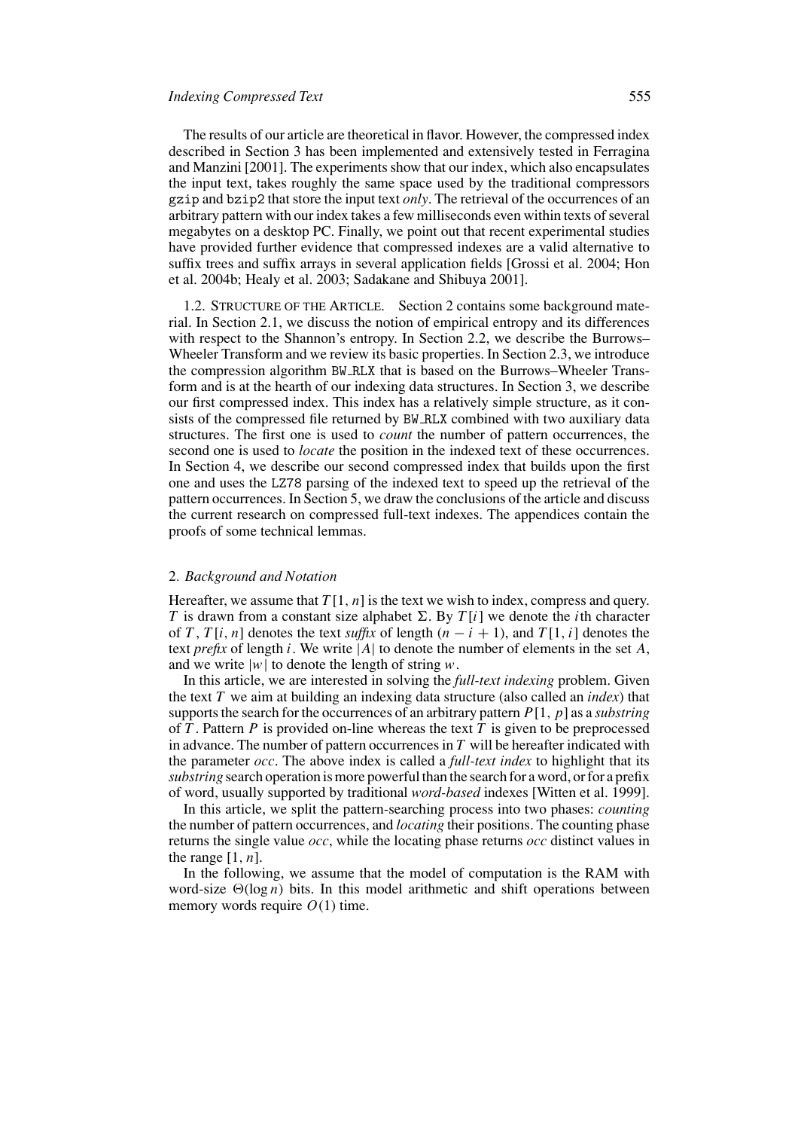The results of our article are theoretical in flavor. However, the compressed index described in Section 3 has been implemented and extensively tested in Ferragina and Manzini [2001]. The experiments show that our index, which also encapsulates the input text, takes roughly the same space used by the traditional compressors gzip and bzip2 that store the input text *only*. The retrieval of the occurrences of an arbitrary pattern with our index takes a few milliseconds even within texts of several megabytes on a desktop PC. Finally, we point out that recent experimental studies have provided further evidence that compressed indexes are a valid alternative to suffix trees and suffix arrays in several application fields [Grossi et al. 2004; Hon et al. 2004b; Healy et al. 2003; Sadakane and Shibuya 2001].

1.2. STRUCTURE OF THE ARTICLE. Section 2 contains some background material. In Section 2.1, we discuss the notion of empirical entropy and its differences with respect to the Shannon's entropy. In Section 2.2, we describe the Burrows– Wheeler Transform and we review its basic properties. In Section 2.3, we introduce the compression algorithm BW RLX that is based on the Burrows–Wheeler Transform and is at the hearth of our indexing data structures. In Section 3, we describe our first compressed index. This index has a relatively simple structure, as it consists of the compressed file returned by BW RLX combined with two auxiliary data structures. The first one is used to *count* the number of pattern occurrences, the second one is used to *locate* the position in the indexed text of these occurrences. In Section 4, we describe our second compressed index that builds upon the first one and uses the LZ78 parsing of the indexed text to speed up the retrieval of the pattern occurrences. In Section 5, we draw the conclusions of the article and discuss the current research on compressed full-text indexes. The appendices contain the proofs of some technical lemmas.

#### 2*. Background and Notation*

Hereafter, we assume that  $T[1, n]$  is the text we wish to index, compress and query. *T* is drawn from a constant size alphabet  $\Sigma$ . By *T* [*i*] we denote the *i*th character of *T*, *T* [*i*, *n*] denotes the text *suffix* of length  $(n - i + 1)$ , and *T* [1, *i*] denotes the text *prefix* of length *i*. We write |*A*| to denote the number of elements in the set *A*, and we write  $|w|$  to denote the length of string *w*.

In this article, we are interested in solving the *full-text indexing* problem. Given the text *T* we aim at building an indexing data structure (also called an *index*) that supports the search for the occurrences of an arbitrary pattern *P*[1, *p*] as a *substring* of  $\overline{T}$ . Pattern  $P$  is provided on-line whereas the text  $\overline{T}$  is given to be preprocessed in advance. The number of pattern occurrences in *T* will be hereafter indicated with the parameter *occ*. The above index is called a *full-text index* to highlight that its *substring* search operation is more powerful than the search for a word, or for a prefix of word, usually supported by traditional *word-based* indexes [Witten et al. 1999].

In this article, we split the pattern-searching process into two phases: *counting* the number of pattern occurrences, and *locating* their positions. The counting phase returns the single value *occ*, while the locating phase returns *occ* distinct values in the range  $[1, n]$ .

In the following, we assume that the model of computation is the RAM with word-size  $\Theta(\log n)$  bits. In this model arithmetic and shift operations between memory words require  $O(1)$  time.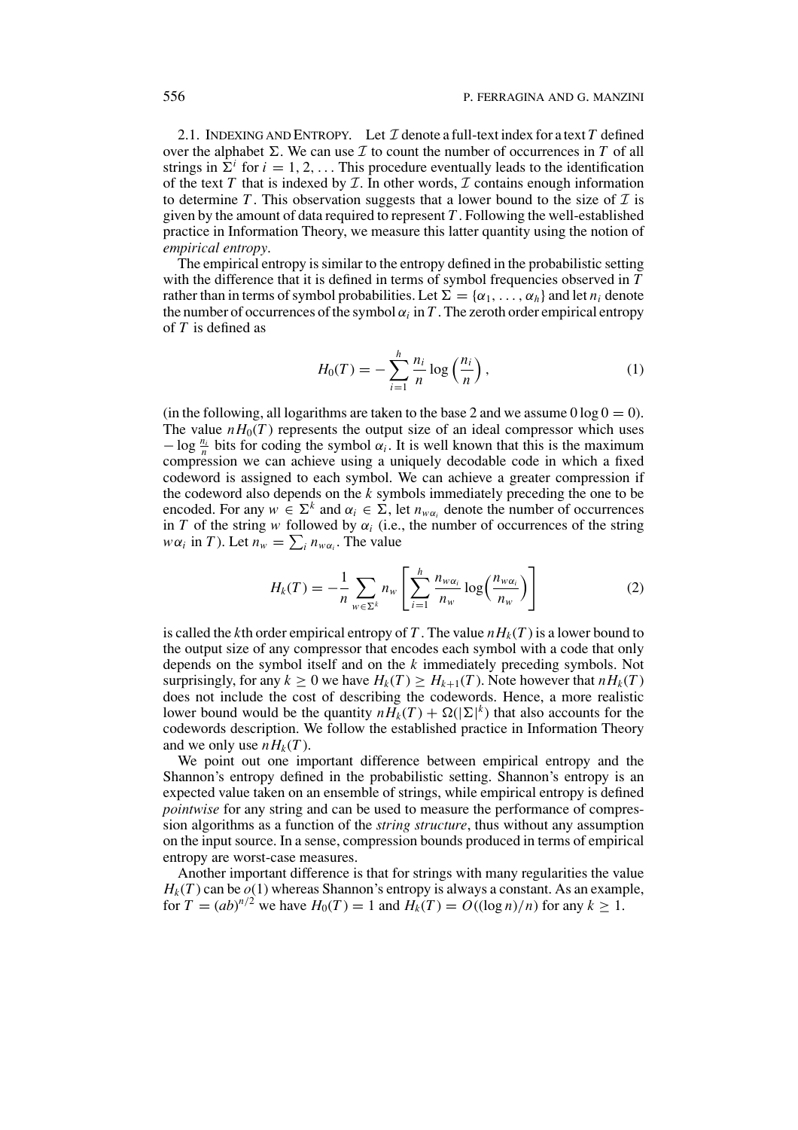2.1. INDEXING AND ENTROPY. Let  $\mathcal I$  denote a full-text index for a text  $T$  defined over the alphabet  $\Sigma$ . We can use  $\mathcal I$  to count the number of occurrences in  $T$  of all strings in  $\Sigma^i$  for  $i = 1, 2, \ldots$  This procedure eventually leads to the identification of the text  $T$  that is indexed by  $T$ . In other words,  $T$  contains enough information to determine T. This observation suggests that a lower bound to the size of  $\mathcal I$  is given by the amount of data required to represent *T* . Following the well-established practice in Information Theory, we measure this latter quantity using the notion of *empirical entropy*.

The empirical entropy is similar to the entropy defined in the probabilistic setting with the difference that it is defined in terms of symbol frequencies observed in *T* rather than in terms of symbol probabilities. Let  $\Sigma = {\alpha_1, \ldots, \alpha_h}$  and let  $n_i$  denote the number of occurrences of the symbol  $\alpha_i$  in T. The zeroth order empirical entropy of *T* is defined as

$$
H_0(T) = -\sum_{i=1}^h \frac{n_i}{n} \log\left(\frac{n_i}{n}\right),\tag{1}
$$

(in the following, all logarithms are taken to the base 2 and we assume  $0 \log 0 = 0$ ). The value  $nH_0(T)$  represents the output size of an ideal compressor which uses  $-\log \frac{n_i}{n}$  bits for coding the symbol  $\alpha_i$ . It is well known that this is the maximum compression we can achieve using a uniquely decodable code in which a fixed codeword is assigned to each symbol. We can achieve a greater compression if the codeword also depends on the *k* symbols immediately preceding the one to be encoded. For any  $w \in \Sigma^k$  and  $\alpha_i \in \Sigma$ , let  $n_{wa}$  denote the number of occurrences in *T* of the string *w* followed by  $\alpha_i$  (i.e., the number of occurrences of the string *w* $\alpha_i$  in *T*). Let  $n_w = \sum_i n_{w\alpha_i}$ . The value

$$
H_k(T) = -\frac{1}{n} \sum_{w \in \Sigma^k} n_w \left[ \sum_{i=1}^h \frac{n_{w\alpha_i}}{n_w} \log \left( \frac{n_{w\alpha_i}}{n_w} \right) \right]
$$
(2)

is called the *k*th order empirical entropy of T. The value  $nH_k(T)$  is a lower bound to the output size of any compressor that encodes each symbol with a code that only depends on the symbol itself and on the *k* immediately preceding symbols. Not surprisingly, for any  $k \geq 0$  we have  $H_k(T) \geq H_{k+1}(T)$ . Note however that  $nH_k(T)$ does not include the cost of describing the codewords. Hence, a more realistic lower bound would be the quantity  $nH_k(T) + \Omega(|\Sigma|^k)$  that also accounts for the codewords description. We follow the established practice in Information Theory and we only use  $nH_k(T)$ .

We point out one important difference between empirical entropy and the Shannon's entropy defined in the probabilistic setting. Shannon's entropy is an expected value taken on an ensemble of strings, while empirical entropy is defined *pointwise* for any string and can be used to measure the performance of compression algorithms as a function of the *string structure*, thus without any assumption on the input source. In a sense, compression bounds produced in terms of empirical entropy are worst-case measures.

Another important difference is that for strings with many regularities the value  $H_k(T)$  can be  $o(1)$  whereas Shannon's entropy is always a constant. As an example, for  $T = (ab)^{n/2}$  we have  $H_0(T) = 1$  and  $H_k(T) = O((\log n)/n)$  for any  $k \ge 1$ .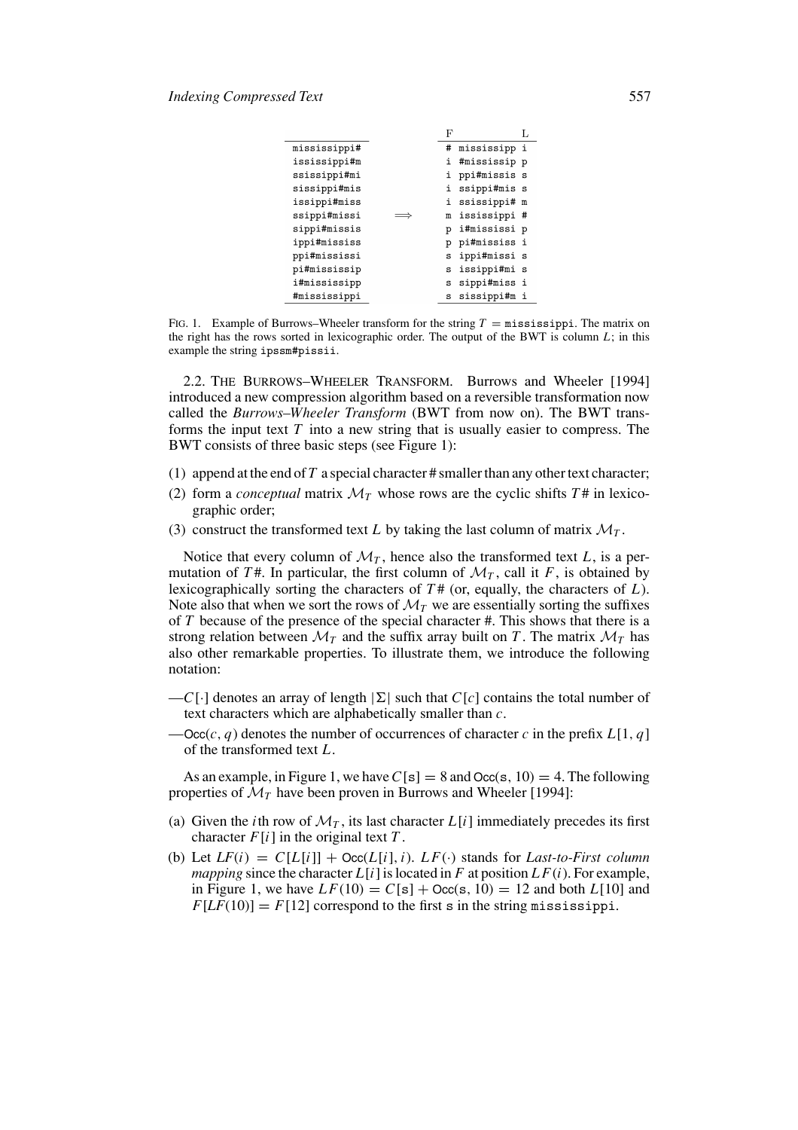|              | Η, |              |  |
|--------------|----|--------------|--|
| mississippi# | #  | mississipp i |  |
| ississippi#m | i  | #mississip p |  |
| ssissippi#mi | i  | ppi#missis s |  |
| sissippi#mis | i  | ssippi#mis s |  |
| issippi#miss | i  | ssissippi# m |  |
| ssippi#missi | m  | ississippi # |  |
| sippi#missis | р  | i#mississi p |  |
| ippi#mississ | р  | pi#mississ i |  |
| ppi#mississi | s  | ippi#missi s |  |
| pi#mississip | s  | issippi#mi s |  |
| i#mississipp | s  | sippi#miss i |  |
| #mississippi | S  | sissippi#m i |  |
|              |    |              |  |

FIG. 1. Example of Burrows–Wheeler transform for the string  $T =$  mississippi. The matrix on the right has the rows sorted in lexicographic order. The output of the BWT is column *L*; in this example the string ipssm#pissii.

2.2. THE BURROWS–WHEELER TRANSFORM. Burrows and Wheeler [1994] introduced a new compression algorithm based on a reversible transformation now called the *Burrows–Wheeler Transform* (BWT from now on). The BWT transforms the input text *T* into a new string that is usually easier to compress. The BWT consists of three basic steps (see Figure 1):

- (1) append at the end of  $T$  a special character  $\#$  smaller than any other text character;
- (2) form a *conceptual* matrix  $\mathcal{M}_T$  whose rows are the cyclic shifts  $T^{\#}$  in lexicographic order;
- (3) construct the transformed text *L* by taking the last column of matrix  $M_T$ .

Notice that every column of  $\mathcal{M}_T$ , hence also the transformed text *L*, is a permutation of  $T^*$ . In particular, the first column of  $\mathcal{M}_T$ , call it F, is obtained by lexicographically sorting the characters of *T* # (or, equally, the characters of *L*). Note also that when we sort the rows of  $\mathcal{M}_T$  we are essentially sorting the suffixes of *T* because of the presence of the special character #. This shows that there is a strong relation between  $\mathcal{M}_T$  and the suffix array built on *T*. The matrix  $\mathcal{M}_T$  has also other remarkable properties. To illustrate them, we introduce the following notation:

- $-C[\cdot]$  denotes an array of length  $|\Sigma|$  such that  $C[c]$  contains the total number of text characters which are alphabetically smaller than *c*.
- $-\text{Occ}(c, q)$  denotes the number of occurrences of character *c* in the prefix  $L[1, q]$ of the transformed text *L*.

As an example, in Figure 1, we have  $C[s] = 8$  and  $Occ(s, 10) = 4$ . The following properties of  $\mathcal{M}_T$  have been proven in Burrows and Wheeler [1994]:

- (a) Given the *i*th row of  $M<sub>T</sub>$ , its last character  $L[i]$  immediately precedes its first character  $F[i]$  in the original text  $T$ .
- (b) Let  $LF(i) = C[L[i]] + \text{Occ}(L[i], i)$ .  $LF(\cdot)$  stands for *Last-to-First column mapping* since the character  $L[i]$  is located in  $F$  at position  $LF(i)$ . For example, in Figure 1, we have  $LF(10) = C[s] + Occ(s, 10) = 12$  and both  $L[10]$  and  $F[LF(10)] = F[12]$  correspond to the first s in the string mississippi.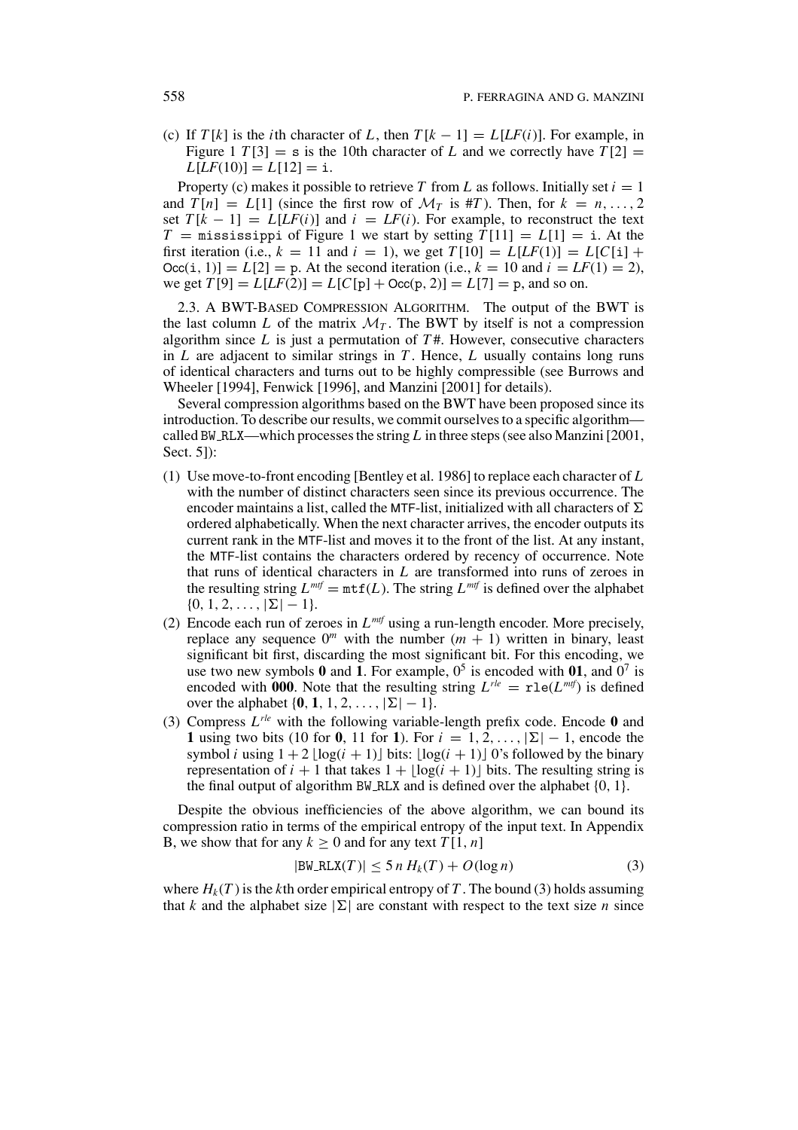(c) If  $T[k]$  is the *i*th character of L, then  $T[k-1] = L[LF(i)]$ . For example, in Figure 1  $T[3] = s$  is the 10th character of *L* and we correctly have  $T[2] =$  $L[LF(10)] = L[12] = i.$ 

Property (c) makes it possible to retrieve *T* from *L* as follows. Initially set  $i = 1$ and  $T[n] = L[1]$  (since the first row of  $\mathcal{M}_T$  is #*T*). Then, for  $k = n, \ldots, 2$ set  $T[k - 1] = L[LF(i)]$  and  $i = LF(i)$ . For example, to reconstruct the text  $T =$  mississippi of Figure 1 we start by setting  $T[11] = L[1] =$  i. At the first iteration (i.e.,  $k = 11$  and  $i = 1$ ), we get  $T[10] = L[LF(1)] = L[C[i] +$  $Occ(i, 1) = L[2] = p$ . At the second iteration (i.e.,  $k = 10$  and  $i = LF(1) = 2$ ), we get  $T[9] = L[LF(2)] = L[C[p] + Occ(p, 2)] = L[7] = p$ , and so on.

2.3. A BWT-BASED COMPRESSION ALGORITHM. The output of the BWT is the last column *L* of the matrix  $\mathcal{M}_T$ . The BWT by itself is not a compression algorithm since *L* is just a permutation of *T* #. However, consecutive characters in *L* are adjacent to similar strings in *T* . Hence, *L* usually contains long runs of identical characters and turns out to be highly compressible (see Burrows and Wheeler [1994], Fenwick [1996], and Manzini [2001] for details).

Several compression algorithms based on the BWT have been proposed since its introduction. To describe our results, we commit ourselves to a specific algorithm called BW RLX—which processes the string *L* in three steps (see also Manzini [2001, Sect. 5]):

- (1) Use move-to-front encoding [Bentley et al. 1986] to replace each character of *L* with the number of distinct characters seen since its previous occurrence. The encoder maintains a list, called the MTF-list, initialized with all characters of  $\Sigma$ ordered alphabetically. When the next character arrives, the encoder outputs its current rank in the MTF-list and moves it to the front of the list. At any instant, the MTF-list contains the characters ordered by recency of occurrence. Note that runs of identical characters in *L* are transformed into runs of zeroes in the resulting string  $L^{mtf} = mtf(L)$ . The string  $L^{mtf}$  is defined over the alphabet  $\{0, 1, 2, \ldots, |\Sigma| - 1\}.$
- (2) Encode each run of zeroes in  $L^{mtf}$  using a run-length encoder. More precisely, replace any sequence  $0^m$  with the number  $(m + 1)$  written in binary, least significant bit first, discarding the most significant bit. For this encoding, we use two new symbols  $\mathbf{0}$  and  $\mathbf{1}$ . For example,  $0^5$  is encoded with  $\mathbf{0}\mathbf{1}$ , and  $0^7$  is encoded with 000. Note that the resulting string  $L^{rle} = \text{rl}e(L^{mrf})$  is defined over the alphabet  $\{0, 1, 1, 2, \ldots, |\Sigma| - 1\}.$
- (3) Compress *Lrle* with the following variable-length prefix code. Encode **0** and **1** using two bits (10 for **0**, 11 for **1**). For  $i = 1, 2, ..., |\Sigma| - 1$ , encode the symbol *i* using  $1 + 2 \lfloor \log(i + 1) \rfloor$  bits:  $\lfloor \log(i + 1) \rfloor$  0's followed by the binary representation of  $i + 1$  that takes  $1 + \lfloor \log(i + 1) \rfloor$  bits. The resulting string is the final output of algorithm BW\_RLX and is defined over the alphabet  $\{0, 1\}$ .

Despite the obvious inefficiencies of the above algorithm, we can bound its compression ratio in terms of the empirical entropy of the input text. In Appendix B, we show that for any  $k \geq 0$  and for any text  $T[1, n]$ 

$$
|\text{BW\_RLX}(T)| \le 5 n H_k(T) + O(\log n) \tag{3}
$$

where  $H_k(T)$  is the *k*th order empirical entropy of T. The bound (3) holds assuming that *k* and the alphabet size  $|\Sigma|$  are constant with respect to the text size *n* since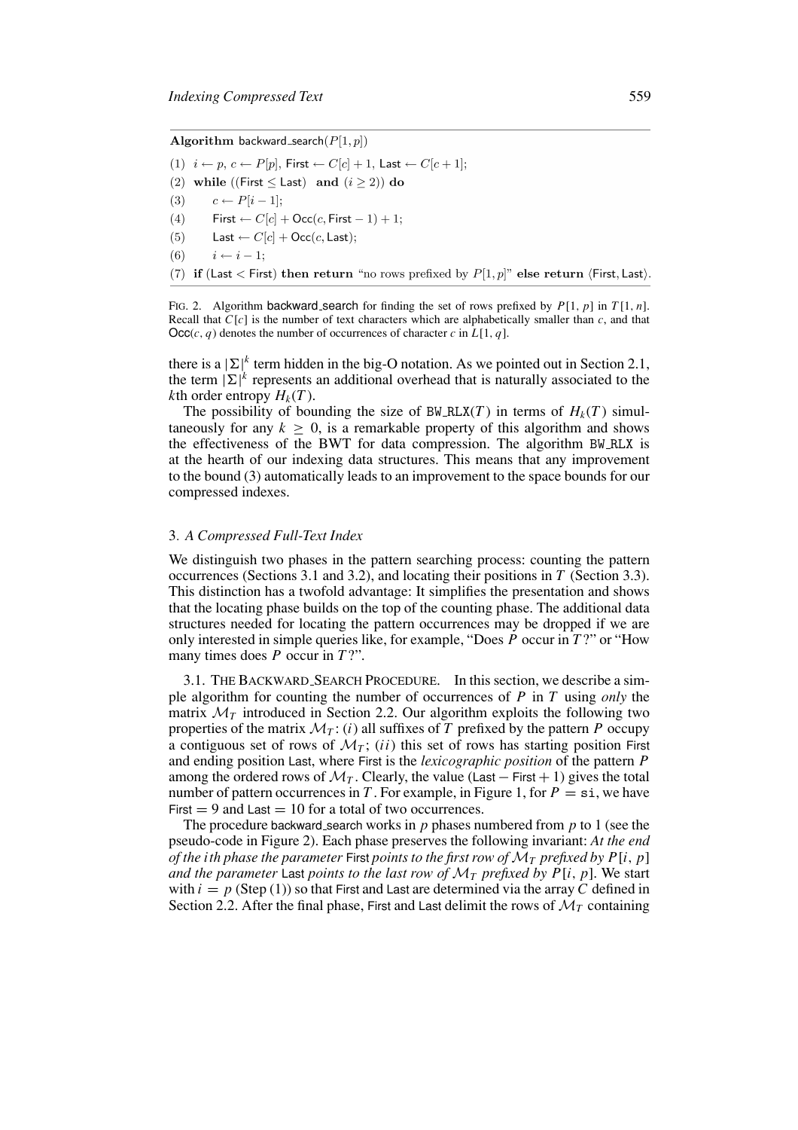Algorithm backward\_search $(P[1, p])$ 

(1)  $i \leftarrow p, c \leftarrow P[p],$  First  $\leftarrow C[c] + 1$ , Last  $\leftarrow C[c + 1]$ ;

(2) while ((First  $\le$  Last) and  $(i \ge 2)$ ) do

 $c \leftarrow P[i-1];$  $(3)$ 

First  $\leftarrow C[c] + \text{Occ}(c, \text{First} - 1) + 1$ ;  $(4)$ 

Last  $\leftarrow C[c] + \text{Occ}(c, \text{Last});$  $(5)$ 

 $i \leftarrow i-1$  $(6)$ 

(7) if (Last < First) then return "no rows prefixed by  $P[1,p]$ " else return (First, Last).

FIG. 2. Algorithm backward search for finding the set of rows prefixed by *P*[1, *p*] in *T* [1, *n*]. Recall that *C*[*c*] is the number of text characters which are alphabetically smaller than *c*, and that  $\text{Occ}(c, q)$  denotes the number of occurrences of character *c* in *L*[1, *q*].

there is a  $|\Sigma|^k$  term hidden in the big-O notation. As we pointed out in Section 2.1, the term  $|\Sigma|^k$  represents an additional overhead that is naturally associated to the *k*th order entropy  $H_k(T)$ .

The possibility of bounding the size of BW\_RLX(*T*) in terms of  $H_k(T)$  simultaneously for any  $k \geq 0$ , is a remarkable property of this algorithm and shows the effectiveness of the BWT for data compression. The algorithm BW RLX is at the hearth of our indexing data structures. This means that any improvement to the bound (3) automatically leads to an improvement to the space bounds for our compressed indexes.

### 3*. A Compressed Full-Text Index*

We distinguish two phases in the pattern searching process: counting the pattern occurrences (Sections 3.1 and 3.2), and locating their positions in *T* (Section 3.3). This distinction has a twofold advantage: It simplifies the presentation and shows that the locating phase builds on the top of the counting phase. The additional data structures needed for locating the pattern occurrences may be dropped if we are only interested in simple queries like, for example, "Does *P* occur in *T* ?" or "How many times does *P* occur in *T* ?".

3.1. THE BACKWARD SEARCH PROCEDURE. In this section, we describe a simple algorithm for counting the number of occurrences of *P* in *T* using *only* the matrix  $\mathcal{M}_T$  introduced in Section 2.2. Our algorithm exploits the following two properties of the matrix  $\mathcal{M}_T$ : (*i*) all suffixes of *T* prefixed by the pattern *P* occupy a contiguous set of rows of  $\mathcal{M}_T$ ; *(ii)* this set of rows has starting position First and ending position Last, where First is the *lexicographic position* of the pattern *P* among the ordered rows of  $\mathcal{M}_T$ . Clearly, the value (Last – First + 1) gives the total number of pattern occurrences in *T*. For example, in Figure 1, for  $P = \text{si}$ , we have First  $= 9$  and Last  $= 10$  for a total of two occurrences.

The procedure backward search works in *p* phases numbered from *p* to 1 (see the pseudo-code in Figure 2). Each phase preserves the following invariant: *At the end of the ith phase the parameter* First *points to the first row of*  $\mathcal{M}_T$  *prefixed by*  $P[i, p]$ *and the parameter* Last *points to the last row of*  $\mathcal{M}_T$  *prefixed by P[i, p]*. We start with  $i = p$  (Step (1)) so that First and Last are determined via the array *C* defined in Section 2.2. After the final phase, First and Last delimit the rows of  $\mathcal{M}_T$  containing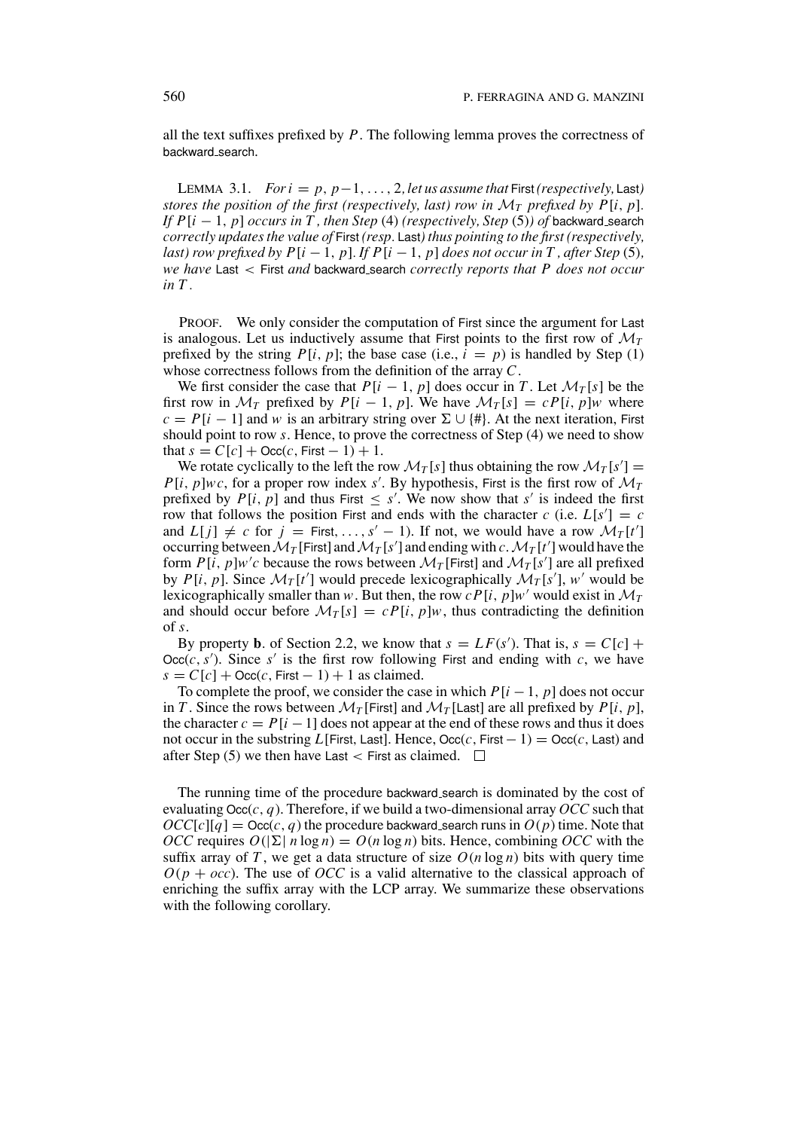all the text suffixes prefixed by *P*. The following lemma proves the correctness of backward search.

LEMMA 3.1. *For i* =  $p$ ,  $p-1$ , ..., 2, *let us assume that* First (*respectively*, Last) *stores the position of the first (respectively, last) row in*  $\mathcal{M}_T$  *prefixed by*  $P[i, p]$ *. If*  $P[i - 1, p]$  *occurs in T*, *then Step* (4) *(respectively, Step* (5)*) of* backward search *correctly updates the value of* First *(resp.* Last*) thus pointing to the first (respectively, last) row prefixed by P*[ $i - 1$ ,  $p$ ]*. If P*[ $i - 1$ ,  $p$ ] *does not occur in*  $T$ *, after Step* (5)*, we have* Last < First *and* backward search *correctly reports that P does not occur in T .*

PROOF. We only consider the computation of First since the argument for Last is analogous. Let us inductively assume that First points to the first row of  $\mathcal{M}_T$ prefixed by the string  $P[i, p]$ ; the base case (i.e.,  $i = p$ ) is handled by Step (1) whose correctness follows from the definition of the array *C*.

We first consider the case that  $P[i - 1, p]$  does occur in *T*. Let  $\mathcal{M}_T[s]$  be the first row in  $\mathcal{M}_T$  prefixed by  $P[i - 1, p]$ . We have  $\mathcal{M}_T[s] = cP[i, p]w$  where  $c = P[i - 1]$  and *w* is an arbitrary string over  $\Sigma \cup \{ \# \}$ . At the next iteration, First should point to row *s*. Hence, to prove the correctness of Step (4) we need to show that  $s = C[c] + \text{Occ}(c, \text{First} - 1) + 1$ .

We rotate cyclically to the left the row  $\mathcal{M}_T[s]$  thus obtaining the row  $\mathcal{M}_T[s'] =$  $P[i, p]$ *wc*, for a proper row index *s'*. By hypothesis, First is the first row of  $\mathcal{M}_T$ prefixed by  $P[i, p]$  and thus First  $\leq s'$ . We now show that *s'* is indeed the first row that follows the position First and ends with the character  $c$  (i.e.  $L[s'] = c$ and  $L[j] \neq c$  for  $j =$  First, ...,  $s' - 1$ ). If not, we would have a row  $\mathcal{M}_T[t']$ occurring between  $\mathcal{M}_T$  [First] and  $\mathcal{M}_T$  [*s'*] and ending with *c*.  $\mathcal{M}_T$  [*t'*] would have the form  $P[i, p]w'c$  because the rows between  $\mathcal{M}_T$  [First] and  $\mathcal{M}_T$  [s'] are all prefixed by *P*[*i*, *p*]. Since  $\mathcal{M}_T[t']$  would precede lexicographically  $\mathcal{M}_T[s']$ , *w'* would be lexicographically smaller than *w*. But then, the row *cP*[*i*, *p*]*w*' would exist in  $\mathcal{M}_T$ and should occur before  $\mathcal{M}_T[s] = cP[i, p]w$ , thus contradicting the definition of *s*.

By property **b**. of Section 2.2, we know that  $s = LF(s')$ . That is,  $s = C[c] +$  $Occ(c, s')$ . Since *s'* is the first row following First and ending with *c*, we have  $s = C[c] + \text{Occ}(c, \text{First} - 1) + 1$  as claimed.

To complete the proof, we consider the case in which  $P[i - 1, p]$  does not occur in *T*. Since the rows between  $\mathcal{M}_T$  [First] and  $\mathcal{M}_T$  [Last] are all prefixed by *P*[*i*, *p*], the character  $c = P[i - 1]$  does not appear at the end of these rows and thus it does not occur in the substring *L*[First, Last]. Hence,  $\text{Occ}(c, \text{First} - 1) = \text{Occ}(c, \text{Last})$  and after Step (5) we then have Last  $\lt$  First as claimed.  $\Box$ 

The running time of the procedure backward search is dominated by the cost of evaluating  $\text{Occ}(c, q)$ . Therefore, if we build a two-dimensional array *OCC* such that  $\partial CC[c][q] = \partial \text{c}c(c, q)$  the procedure backward search runs in  $O(p)$  time. Note that *OCC* requires  $O(|\Sigma| n \log n) = O(n \log n)$  bits. Hence, combining *OCC* with the suffix array of *T*, we get a data structure of size  $O(n \log n)$  bits with query time  $O(p + occ)$ . The use of *OCC* is a valid alternative to the classical approach of enriching the suffix array with the LCP array. We summarize these observations with the following corollary.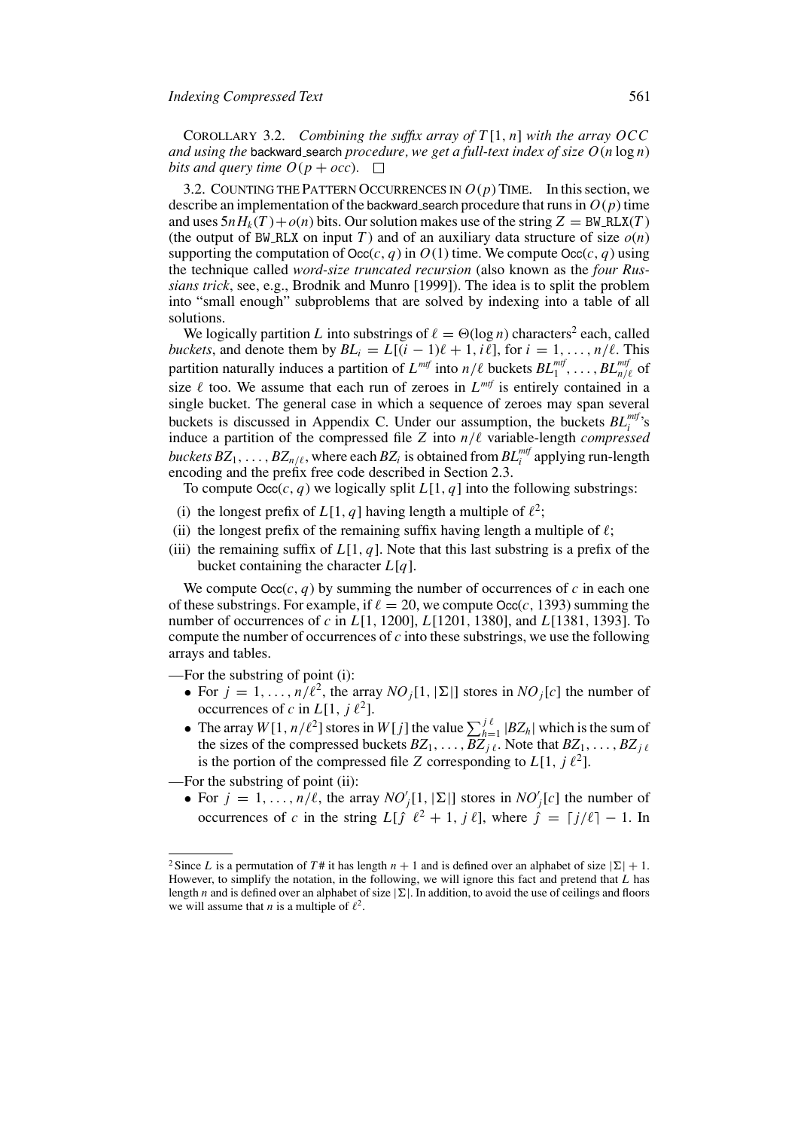COROLLARY 3.2. *Combining the suffix array of T* [1, *n*] *with the array OCC and using the* backward search *procedure, we get a full-text index of size*  $O(n \log n)$ *bits and query time*  $O(p + occ)$ *.*  $\square$ 

3.2. COUNTING THE PATTERN OCCURRENCES IN  $O(p)$  TIME. In this section, we describe an implementation of the backward search procedure that runs in  $O(p)$  time and uses  $5nH_k(T) + o(n)$  bits. Our solution makes use of the string  $Z = BW_R LX(T)$ (the output of BW\_RLX on input *T*) and of an auxiliary data structure of size  $o(n)$ supporting the computation of  $\text{Occ}(c, q)$  in  $O(1)$  time. We compute  $\text{Occ}(c, q)$  using the technique called *word-size truncated recursion* (also known as the *four Russians trick*, see, e.g., Brodnik and Munro [1999]). The idea is to split the problem into "small enough" subproblems that are solved by indexing into a table of all solutions.

We logically partition *L* into substrings of  $\ell = \Theta(\log n)$  characters<sup>2</sup> each, called *buckets*, and denote them by  $BL_i = L[(i - 1)\ell + 1, i\ell]$ , for  $i = 1, ..., n/\ell$ . This partition naturally induces a partition of  $L^{mtf}$  into  $n/\ell$  buckets  $BL^{mtf}_{1}, \ldots, BL^{mtf}_{n/\ell}$  of size  $\ell$  too. We assume that each run of zeroes in  $L^{mf}$  is entirely contained in a single bucket. The general case in which a sequence of zeroes may span several buckets is discussed in Appendix C. Under our assumption, the buckets  $BL_i^{mtf}$ 's induce a partition of the compressed file  $Z$  into  $n/\ell$  variable-length *compressed*  $\mathit{buckets}\,BZ_1,\ldots,BZ_{n/\ell},$  where each  $BZ_i$  is obtained from  $BL_i^{m\ell f}$  applying run-length encoding and the prefix free code described in Section 2.3.

To compute  $\text{Occ}(c, q)$  we logically split  $L[1, q]$  into the following substrings:

- (i) the longest prefix of  $L[1, q]$  having length a multiple of  $\ell^2$ ;
- (ii) the longest prefix of the remaining suffix having length a multiple of  $\ell$ ;
- (iii) the remaining suffix of  $L[1, q]$ . Note that this last substring is a prefix of the bucket containing the character *L*[*q*].

We compute  $\text{Occ}(c, q)$  by summing the number of occurrences of c in each one of these substrings. For example, if  $\ell = 20$ , we compute Occ(*c*, 1393) summing the number of occurrences of *c* in *L*[1, 1200], *L*[1201, 1380], and *L*[1381, 1393]. To compute the number of occurrences of *c* into these substrings, we use the following arrays and tables.

—For the substring of point (i):

- For  $j = 1, \ldots, n/\ell^2$ , the array *NO*<sub>i</sub>[1, | $\Sigma$ ] stores in *NO*<sub>i</sub>[*c*] the number of occurrences of *c* in  $L[1, j \ell^2]$ .
- The array  $W[1, n/\ell^2]$  stores in  $W[j]$  the value  $\sum_{h=1}^{j\ell} |BZ_h|$  which is the sum of the sizes of the compressed buckets  $BZ_1, \ldots, BZ_j$ . Note that  $BZ_1, \ldots, BZ_j$ . is the portion of the compressed file *Z* corresponding to  $L[1, i \ell^2]$ .

—For the substring of point (ii):

• For  $j = 1, \ldots, n/\ell$ , the array  $NO'_{j}[1, |\Sigma|]$  stores in  $NO'_{j}[c]$  the number of occurrences of *c* in the string  $L[f \ell^2 + 1, j \ell]$ , where  $\hat{j} = [j/\ell] - 1$ . In

<sup>&</sup>lt;sup>2</sup> Since *L* is a permutation of *T* # it has length  $n + 1$  and is defined over an alphabet of size  $|\Sigma| + 1$ . However, to simplify the notation, in the following, we will ignore this fact and pretend that *L* has length *n* and is defined over an alphabet of size  $|\Sigma|$ . In addition, to avoid the use of ceilings and floors we will assume that *n* is a multiple of  $\ell^2$ .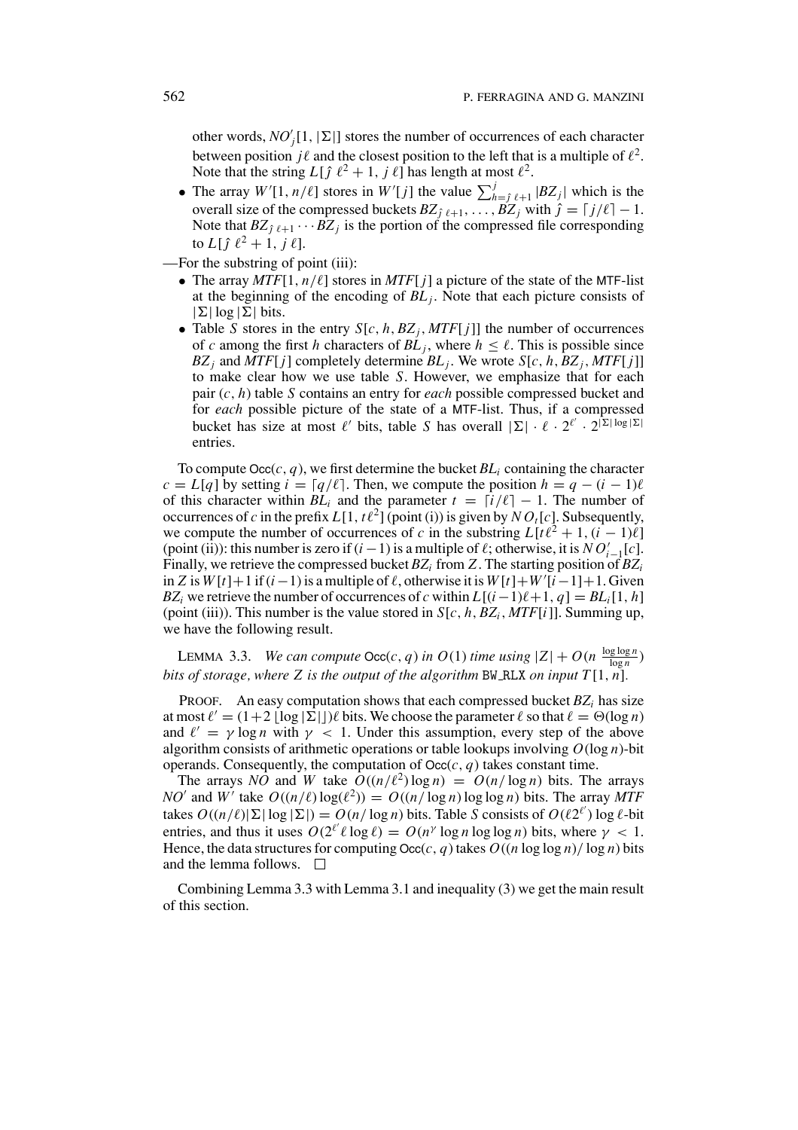other words,  $NO'_{j}[1, |\Sigma|]$  stores the number of occurrences of each character between position  $j\ell$  and the closest position to the left that is a multiple of  $\ell^2$ . Note that the string  $L[\hat{j} \ell^2 + 1, j \ell]$  has length at most  $\ell^2$ .

- The array  $W'[1, n/\ell]$  stores in  $W'[j]$  the value  $\sum_{h=j}^{j} \ell_{+1} |BZ_j|$  which is the overall size of the compressed buckets  $BZ_{\hat{j}l+1}, \ldots, \hat{BZ}_j$  with  $\hat{j} = [j/l] - 1$ . Note that  $BZ_{\hat{j}} \ell+1 \cdots BZ_j$  is the portion of the compressed file corresponding to  $L[\hat{j} \ell^2 + 1, j \ell].$
- —For the substring of point (iii):
	- The array  $MTF[1, n/\ell]$  stores in  $MTF[j]$  a picture of the state of the MTF-list at the beginning of the encoding of *BLj* . Note that each picture consists of  $|\Sigma| \log |\Sigma|$  bits.
	- Table *S* stores in the entry  $S[c, h, BZ_j, MTF[j]]$  the number of occurrences of *c* among the first *h* characters of  $BL<sub>i</sub>$ , where  $h \leq \ell$ . This is possible since  $BZ_i$  and  $MTF[j]$  completely determine  $BL_j$ . We wrote  $S[c, h, BZ_j, MTF[j]]$ to make clear how we use table *S*. However, we emphasize that for each pair (*c*, *h*) table *S* contains an entry for *each* possible compressed bucket and for *each* possible picture of the state of a MTF-list. Thus, if a compressed bucket has size at most  $\ell'$  bits, table *S* has overall  $|\Sigma| \cdot \ell \cdot 2^{\ell'} \cdot 2^{|\Sigma| \log |\Sigma|}$ entries.

To compute  $\text{Occ}(c, q)$ , we first determine the bucket  $BL_i$  containing the character  $c = L[q]$  by setting  $i = \lceil q/\ell \rceil$ . Then, we compute the position  $h = q - (i - 1)\ell$ of this character within  $BL_i$  and the parameter  $t = \lfloor i/\ell \rfloor - 1$ . The number of occurrences of *c* in the prefix  $L[1, t\ell^2]$  (point (i)) is given by  $N O_t[c]$ . Subsequently, we compute the number of occurrences of *c* in the substring  $L[t^2 + 1, (i - 1)\ell]$ (point (ii)): this number is zero if  $(i - 1)$  is a multiple of  $\ell$ ; otherwise, it is  $NO'_{i-1}[c]$ . Finally, we retrieve the compressed bucket *BZi* from *Z*. The starting position of *BZi* in *Z* is  $W[t]+1$  if  $(i-1)$  is a multiple of  $\ell$ , otherwise it is  $W[t]+W'[i-1]+1$ . Given *BZ<sub>i</sub>* we retrieve the number of occurrences of *c* within  $L[(i-1)\ell+1, q] = BL_i[1, h]$ (point (iii)). This number is the value stored in  $S[c, h, BZ_i, MTF[i]]$ . Summing up, we have the following result.

LEMMA 3.3. *We can compute*  $\text{Occ}(c, q)$  *in*  $O(1)$  *time using*  $|Z| + O(n \frac{\log \log n}{\log n})$ *bits of storage, where* Z *is the output of the algorithm* BW\_RLX *on input*  $T[1, n]$ *.* 

PROOF. An easy computation shows that each compressed bucket *BZ<sub>i</sub>* has size at most  $\ell' = (1+2 \lfloor \log |\Sigma| \rfloor) \ell$  bits. We choose the parameter  $\ell$  so that  $\ell = \Theta(\log n)$ and  $\ell' = \gamma \log n$  with  $\gamma < 1$ . Under this assumption, every step of the above algorithm consists of arithmetic operations or table lookups involving *O*(log *n*)-bit operands. Consequently, the computation of  $Occ(c, q)$  takes constant time.

The arrays *NO* and *W* take  $O((n/\ell^2) \log n) = O(n/\log n)$  bits. The arrays *NO*' and *W*' take  $O((n/\ell) \log(\ell^2)) = O((n/\log n) \log \log n)$  bits. The array *MTF* takes  $O((n/\ell)|\Sigma| \log |\Sigma|) = O(n/\log n)$  bits. Table *S* consists of  $O(\ell 2^{\ell'}) \log \ell$ -bit entries, and thus it uses  $O(2^{\ell'} \ell \log \ell) = O(n^{\gamma} \log n \log \log n)$  bits, where  $\gamma < 1$ . Hence, the data structures for computing  $Occ(c, q)$  takes  $O((n \log \log n)/\log n)$  bits and the lemma follows.  $\square$ 

Combining Lemma 3.3 with Lemma 3.1 and inequality (3) we get the main result of this section.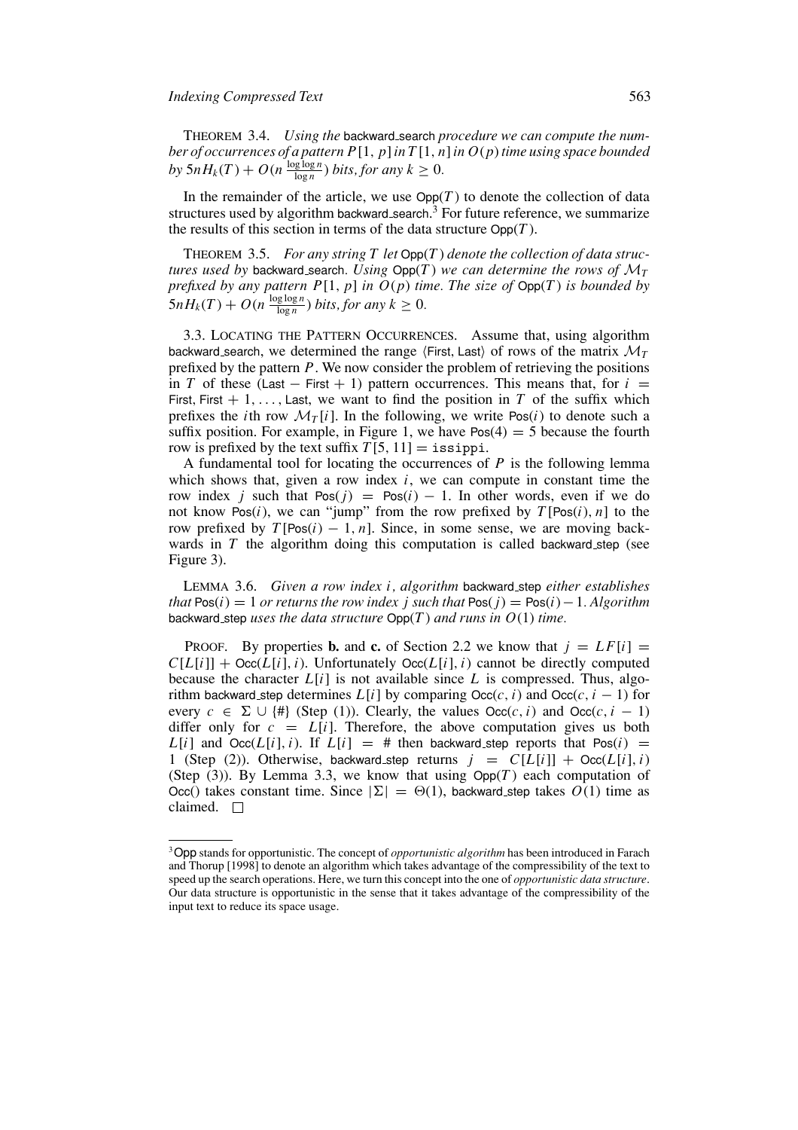THEOREM 3.4. *Using the* backward search *procedure we can compute the number of occurrences of a pattern P*[1, *p*]*in T* [1, *n*]*in O*(*p*)*time using space bounded by*  $5nH_k(T) + O(n \frac{\log \log n}{\log n})$  *bits, for any*  $k \geq 0$ *.* 

In the remainder of the article, we use  $\text{Opp}(T)$  to denote the collection of data structures used by algorithm backward search. $3$  For future reference, we summarize the results of this section in terms of the data structure  $\text{Ono}(T)$ .

THEOREM 3.5. *For any string T let* Opp(*T* ) *denote the collection of data structures used by* backward search. Using  $\text{Opp}(T)$  we can determine the rows of  $\mathcal{M}_T$ *prefixed by any pattern P*[1, *p*] *in O*(*p*) *time. The size of* Opp(*T* ) *is bounded by*  $5nH_k(T) + O(n \frac{\log \log n}{\log n})$  *bits, for any*  $k \geq 0$ *.* 

3.3. LOCATING THE PATTERN OCCURRENCES. Assume that, using algorithm backward search, we determined the range  $\langle$ First, Last $\rangle$  of rows of the matrix  $\mathcal{M}_T$ prefixed by the pattern *P*. We now consider the problem of retrieving the positions in *T* of these (Last – First + 1) pattern occurrences. This means that, for  $i =$ First, First  $+ 1, \ldots,$  Last, we want to find the position in *T* of the suffix which prefixes the *i*th row  $\mathcal{M}_T[i]$ . In the following, we write Pos(*i*) to denote such a suffix position. For example, in Figure 1, we have  $Pos(4) = 5$  because the fourth row is prefixed by the text suffix  $T[5, 11] =$  issippi.

A fundamental tool for locating the occurrences of *P* is the following lemma which shows that, given a row index *i*, we can compute in constant time the row index *j* such that  $Pos(j) = Pos(i) - 1$ . In other words, even if we do not know Pos(*i*), we can "jump" from the row prefixed by  $T[\text{Pos}(i), n]$  to the row prefixed by  $T[Pos(i) - 1, n]$ . Since, in some sense, we are moving backwards in *T* the algorithm doing this computation is called backward step (see Figure 3).

LEMMA 3.6. *Given a row index i, algorithm* backward step *either establishes that*  $Pos(i) = 1$  *or returns the row index j such that*  $Pos(i) = Pos(i) - 1$ *. Algorithm* backward step *uses the data structure* Opp(*T* ) *and runs in O*(1) *time.*

PROOF. By properties **b.** and **c.** of Section 2.2 we know that  $j = LF[i]$  $C[L[i]] + \text{Occ}(L[i], i)$ . Unfortunately  $\text{Occ}(L[i], i)$  cannot be directly computed because the character  $L[i]$  is not available since  $L$  is compressed. Thus, algorithm backward step determines  $L[i]$  by comparing  $Occ(c, i)$  and  $Occ(c, i - 1)$  for every  $c \in \Sigma \cup \{ \# \}$  (Step (1)). Clearly, the values  $\text{Occ}(c, i)$  and  $\text{Occ}(c, i - 1)$ differ only for  $c = L[i]$ . Therefore, the above computation gives us both  $L[i]$  and  $Occ(L[i], i)$ . If  $L[i] = #$  then backward step reports that  $Pos(i) =$ 1 (Step (2)). Otherwise, backward step returns  $j = C[L[i]] + \text{Occ}(L[i], i)$ (Step (3)). By Lemma 3.3, we know that using  $Opp(T)$  each computation of Occ() takes constant time. Since  $|\Sigma| = \Theta(1)$ , backward step takes  $O(1)$  time as claimed.  $\square$ 

<sup>3</sup>Opp stands for opportunistic. The concept of *opportunistic algorithm* has been introduced in Farach and Thorup [1998] to denote an algorithm which takes advantage of the compressibility of the text to speed up the search operations. Here, we turn this concept into the one of *opportunistic data structure*. Our data structure is opportunistic in the sense that it takes advantage of the compressibility of the input text to reduce its space usage.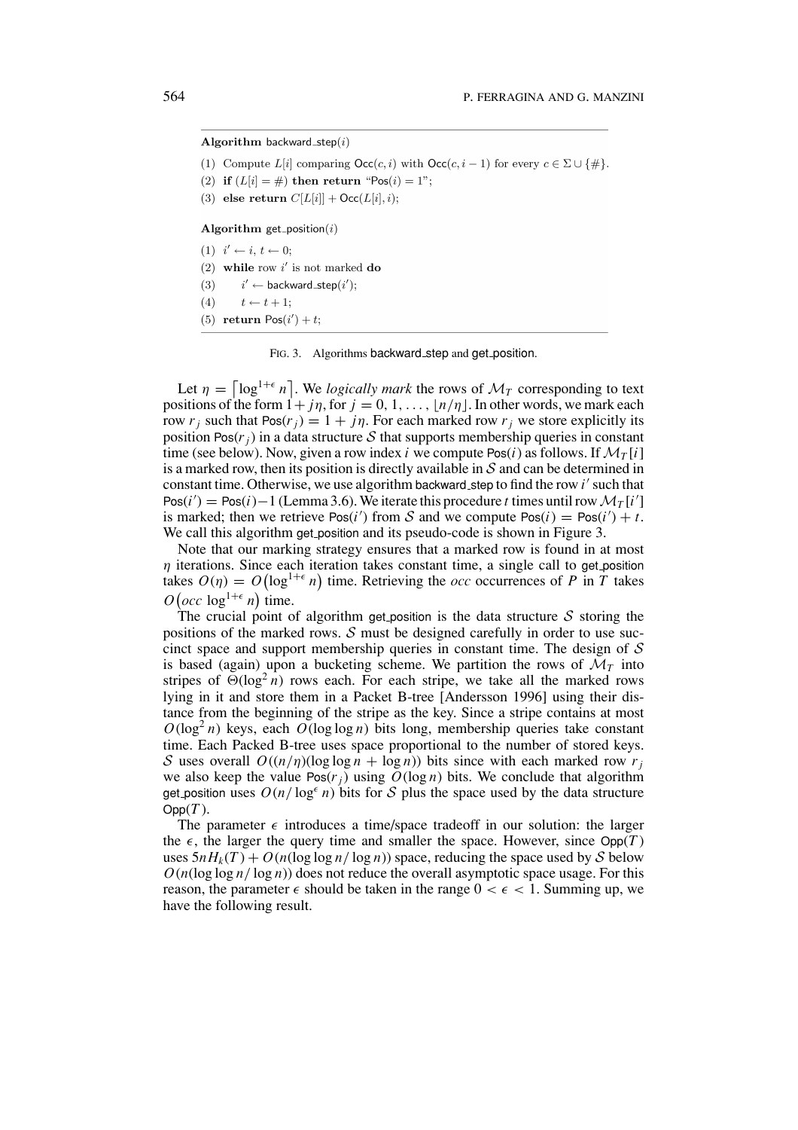#### Algorithm backward\_step $(i)$

- (1) Compute  $L[i]$  comparing  $\mathsf{Occ}(c, i)$  with  $\mathsf{Occ}(c, i 1)$  for every  $c \in \Sigma \cup \{\#\}.$
- (2) if  $(L[i] = #)$  then return "Pos(i) = 1";
- (3) else return  $C[L[i]] + \text{Occ}(L[i], i);$

### Algorithm  $get\_position(i)$

- (1)  $i' \leftarrow i, t \leftarrow 0$ ;
- (2) while row  $i'$  is not marked do
- $(3)$  $i' \leftarrow$  backward\_step $(i')$ ;
- $(4)$  $t \leftarrow t + 1$ ;
- (5) return  $Pos(i')+t$ ;

FIG. 3. Algorithms backward step and get position.

Let  $\eta = \left[ \log^{1+\epsilon} n \right]$ . We *logically mark* the rows of  $\mathcal{M}_T$  corresponding to text positions of the form  $1 + j\eta$ , for  $j = 0, 1, \ldots, \lfloor n/\eta \rfloor$ . In other words, we mark each row  $r_i$  such that  $Pos(r_i) = 1 + i\eta$ . For each marked row  $r_i$  we store explicitly its position Pos $(r_i)$  in a data structure S that supports membership queries in constant time (see below). Now, given a row index *i* we compute Pos(*i*) as follows. If  $\mathcal{M}_T[i]$ is a marked row, then its position is directly available in  $S$  and can be determined in constant time. Otherwise, we use algorithm backward step to find the row *i'* such that Pos( $i'$ ) = Pos( $i$ )−1 (Lemma 3.6). We iterate this procedure *t* times until row  $\mathcal{M}_T[i']$ is marked; then we retrieve  $Pos(i')$  from S and we compute  $Pos(i) = Pos(i') + t$ . We call this algorithm get position and its pseudo-code is shown in Figure 3.

Note that our marking strategy ensures that a marked row is found in at most  $\eta$  iterations. Since each iteration takes constant time, a single call to get position takes  $O(\eta) = O(\log^{1+\epsilon} n)$  time. Retrieving the *occ* occurrences of *P* in *T* takes  $O(\operatorname{occ} \operatorname{log}^{1+\epsilon} n)$  time.

The crucial point of algorithm get position is the data structure S storing the positions of the marked rows.  $\mathcal S$  must be designed carefully in order to use succinct space and support membership queries in constant time. The design of  $S$ is based (again) upon a bucketing scheme. We partition the rows of  $\mathcal{M}_T$  into stripes of  $\Theta(\log^2 n)$  rows each. For each stripe, we take all the marked rows lying in it and store them in a Packet B-tree [Andersson 1996] using their distance from the beginning of the stripe as the key. Since a stripe contains at most  $O(\log^2 n)$  keys, each  $O(\log \log n)$  bits long, membership queries take constant time. Each Packed B-tree uses space proportional to the number of stored keys. S uses overall  $O((n/n)(\log \log n + \log n))$  bits since with each marked row  $r_i$ we also keep the value  $Pos(r_i)$  using  $O(log n)$  bits. We conclude that algorithm get position uses  $O(n/\log^{\epsilon} n)$  bits for S plus the space used by the data structure  $Opp(T)$ .

The parameter  $\epsilon$  introduces a time/space tradeoff in our solution: the larger the  $\epsilon$ , the larger the query time and smaller the space. However, since  $\text{Opp}(T)$ uses  $5nH_k(T) + O(n(\log \log n/\log n))$  space, reducing the space used by S below  $O(n(\log \log n / \log n))$  does not reduce the overall asymptotic space usage. For this reason, the parameter  $\epsilon$  should be taken in the range  $0 < \epsilon < 1$ . Summing up, we have the following result.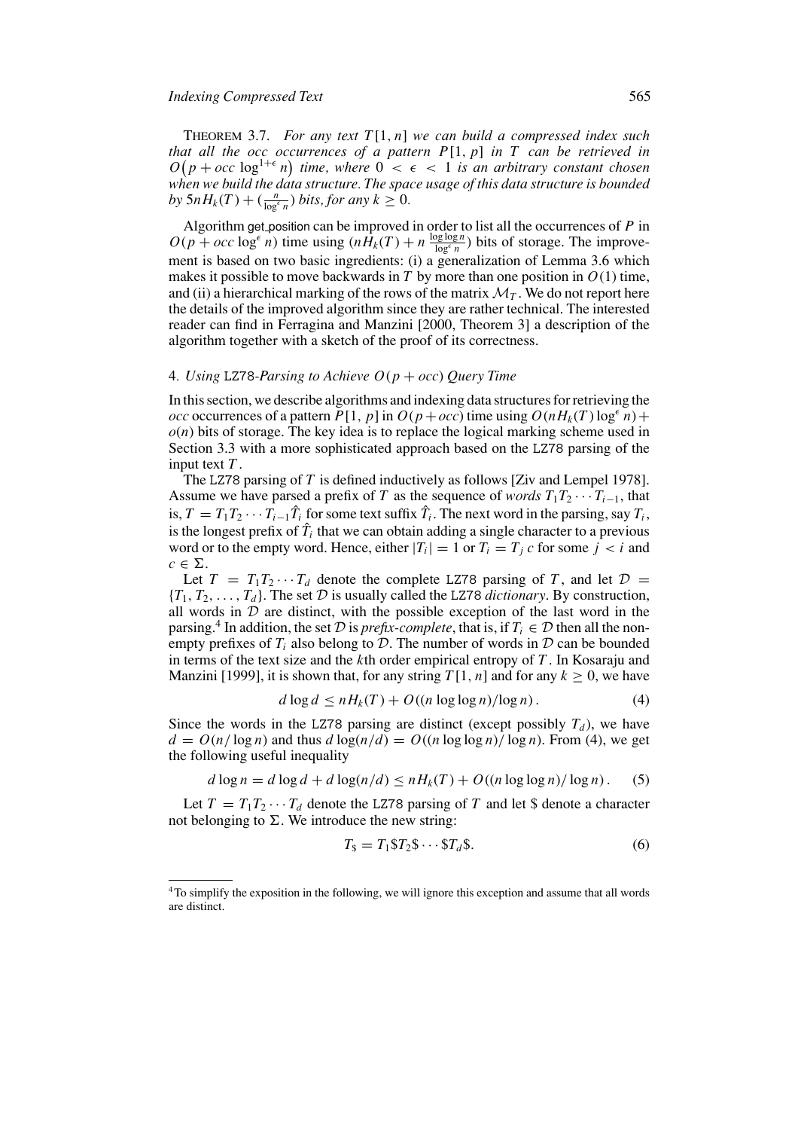THEOREM 3.7. *For any text T* [1, *n*] *we can build a compressed index such that all the occ occurrences of a pattern P*[1, *p*] *in T can be retrieved in*  $O(p + occ \log^{1+\epsilon} n)$  time, where  $0 < \epsilon < 1$  is an arbitrary constant chosen *when we build the data structure. The space usage of this data structure is bounded by*  $5nH_k(T) + \left(\frac{n}{\log^{\epsilon} n}\right)$  *bits, for any*  $k \geq 0$ *.* 

Algorithm get position can be improved in order to list all the occurrences of *P* in  $O(p + occ \log^{\epsilon} n)$  time using  $(n\hat{H}_k(T) + n \frac{\log \log n}{\log^{\epsilon} n})$  bits of storage. The improvement is based on two basic ingredients: (i) a generalization of Lemma 3.6 which makes it possible to move backwards in  $T$  by more than one position in  $O(1)$  time, and (ii) a hierarchical marking of the rows of the matrix  $\mathcal{M}_T$ . We do not report here the details of the improved algorithm since they are rather technical. The interested reader can find in Ferragina and Manzini [2000, Theorem 3] a description of the algorithm together with a sketch of the proof of its correctness.

## 4*. Using* LZ78*-Parsing to Achieve O*(*p* + *occ*) *Query Time*

In this section, we describe algorithms and indexing data structures for retrieving the *occ* occurrences of a pattern  $P[1, p]$  in  $O(p + occ)$  time using  $O(nH_k(T) \log^{\epsilon} n)$  +  $o(n)$  bits of storage. The key idea is to replace the logical marking scheme used in Section 3.3 with a more sophisticated approach based on the LZ78 parsing of the input text *T* .

The LZ78 parsing of *T* is defined inductively as follows [Ziv and Lempel 1978]. Assume we have parsed a prefix of *T* as the sequence of *words*  $T_1T_2 \cdots T_{i-1}$ , that is,  $T = T_1 T_2 \cdots \hat{T}_{i-1} \hat{T}_i$  for some text suffix  $\hat{T}_i$ . The next word in the parsing, say  $T_i$ , is the longest prefix of  $\hat{T}_i$  that we can obtain adding a single character to a previous word or to the empty word. Hence, either  $|T_i| = 1$  or  $T_i = T_j c$  for some  $j < i$  and  $c \in \Sigma$ .

Let  $T = T_1 T_2 \cdots T_d$  denote the complete LZ78 parsing of *T*, and let  $D =$  ${T_1, T_2, \ldots, T_d}$ . The set D is usually called the LZ78 *dictionary*. By construction, all words in  $D$  are distinct, with the possible exception of the last word in the parsing.<sup>4</sup> In addition, the set D is *prefix-complete*, that is, if  $T_i \in \mathcal{D}$  then all the nonempty prefixes of  $T_i$  also belong to  $D$ . The number of words in  $D$  can be bounded in terms of the text size and the *k*th order empirical entropy of *T* . In Kosaraju and Manzini [1999], it is shown that, for any string  $T[1, n]$  and for any  $k > 0$ , we have

$$
d \log d \le nH_k(T) + O((n \log \log n)/\log n). \tag{4}
$$

Since the words in the LZ78 parsing are distinct (except possibly  $T_d$ ), we have  $d = O(n/\log n)$  and thus  $d \log(n/d) = O((n \log \log n)/\log n)$ . From (4), we get the following useful inequality

$$
d \log n = d \log d + d \log(n/d) \le nH_k(T) + O((n \log \log n)/\log n). \tag{5}
$$

Let  $T = T_1 T_2 \cdots T_d$  denote the LZ78 parsing of *T* and let \$ denote a character not belonging to  $\Sigma$ . We introduce the new string:

$$
T_{\$} = T_1 \$ T_2 \$ \cdots \$ T_d \$. \tag{6}
$$

<sup>4</sup>To simplify the exposition in the following, we will ignore this exception and assume that all words are distinct.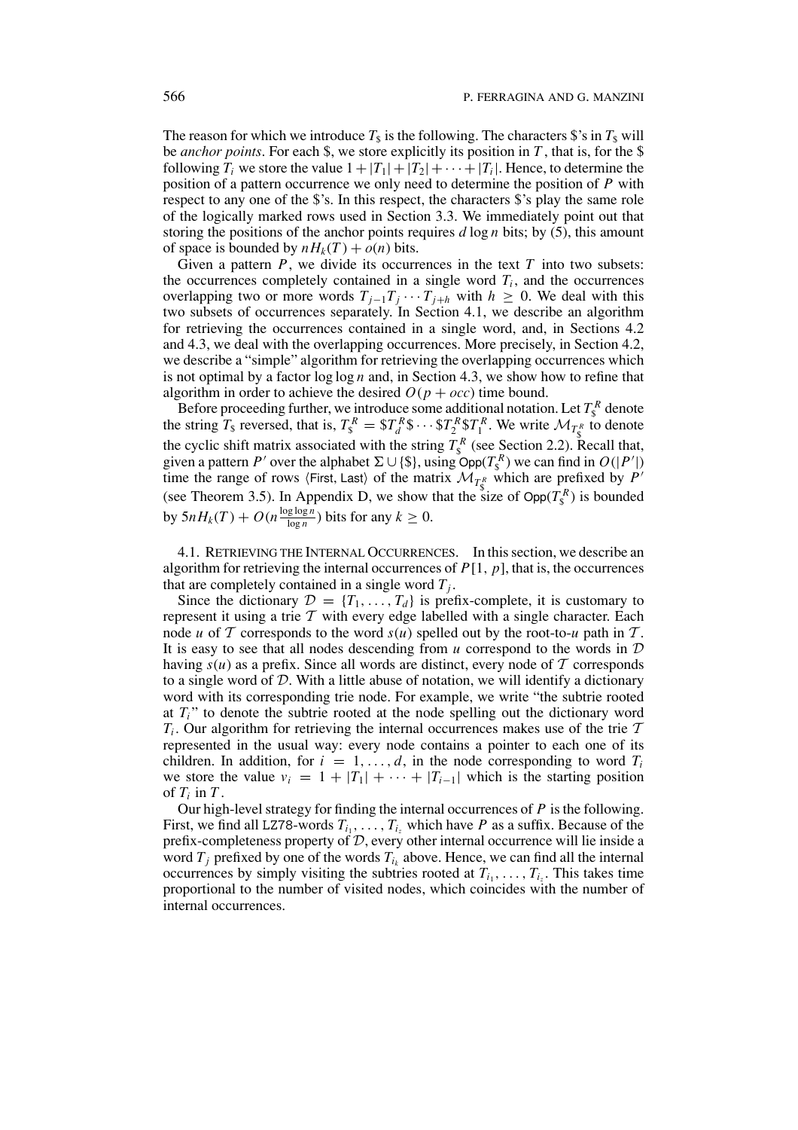The reason for which we introduce  $T<sub>s</sub>$  is the following. The characters \$'s in  $T<sub>s</sub>$  will be *anchor points*. For each \$, we store explicitly its position in *T* , that is, for the \$ following  $T_i$  we store the value  $1+|T_1|+|T_2|+\cdots+|T_i|$ . Hence, to determine the position of a pattern occurrence we only need to determine the position of *P* with respect to any one of the \$'s. In this respect, the characters \$'s play the same role of the logically marked rows used in Section 3.3. We immediately point out that storing the positions of the anchor points requires *d* log *n* bits; by (5), this amount of space is bounded by  $nH_k(T) + o(n)$  bits.

Given a pattern  $P$ , we divide its occurrences in the text  $T$  into two subsets: the occurrences completely contained in a single word  $T_i$ , and the occurrences overlapping two or more words  $T_{i-1}T_i \cdots T_{i+h}$  with  $h \geq 0$ . We deal with this two subsets of occurrences separately. In Section 4.1, we describe an algorithm for retrieving the occurrences contained in a single word, and, in Sections 4.2 and 4.3, we deal with the overlapping occurrences. More precisely, in Section 4.2, we describe a "simple" algorithm for retrieving the overlapping occurrences which is not optimal by a factor log log *n* and, in Section 4.3, we show how to refine that algorithm in order to achieve the desired  $O(p + occ)$  time bound.

Before proceeding further, we introduce some additional notation. Let  $T_s^R$  denote the string  $T_s$  reversed, that is,  $T_s^R = \frac{ST_s^R \$ \cdots \$ T_s^R \$ T_1^R$ . We write  $\mathcal{M}_{T_s^R}$  to denote the cyclic shift matrix associated with the string  $T_s^R$  (see Section 2.2). Recall that, given a pattern *P'* over the alphabet  $\Sigma \cup \{\$\}$ , using  $Opp(T_{\$\}^R)$  we can find in  $O(|P'|)$ time the range of rows  $\langle$  First, Last $\rangle$  of the matrix  $\mathcal{M}_{T^R}$  which are prefixed by  $P'$ (see Theorem 3.5). In Appendix D, we show that the size of  $\text{Opp}(T_{\rm s}^R)$  is bounded by  $5nH_k(T) + O(n\frac{\log \log n}{\log n})$  bits for any  $k \ge 0$ .

4.1. RETRIEVING THE INTERNAL OCCURRENCES. In this section, we describe an algorithm for retrieving the internal occurrences of  $P[1, p]$ , that is, the occurrences that are completely contained in a single word  $T_i$ .

Since the dictionary  $\mathcal{D} = \{T_1, \ldots, T_d\}$  is prefix-complete, it is customary to represent it using a trie  $T$  with every edge labelled with a single character. Each node *u* of T corresponds to the word  $s(u)$  spelled out by the root-to-*u* path in T. It is easy to see that all nodes descending from  $u$  correspond to the words in  $D$ having  $s(u)$  as a prefix. Since all words are distinct, every node of  $T$  corresponds to a single word of  $D$ . With a little abuse of notation, we will identify a dictionary word with its corresponding trie node. For example, we write "the subtrie rooted at  $T_i$ <sup>"</sup> to denote the subtrie rooted at the node spelling out the dictionary word  $T_i$ . Our algorithm for retrieving the internal occurrences makes use of the trie  $\mathcal T$ represented in the usual way: every node contains a pointer to each one of its children. In addition, for  $i = 1, \ldots, d$ , in the node corresponding to word  $T_i$ we store the value  $v_i = 1 + |T_1| + \cdots + |T_{i-1}|$  which is the starting position of  $T_i$  in  $T_i$ .

Our high-level strategy for finding the internal occurrences of *P* is the following. First, we find all LZ78-words  $T_{i_1}, \ldots, T_{i_z}$  which have *P* as a suffix. Because of the prefix-completeness property of D, every other internal occurrence will lie inside a word  $T_j$  prefixed by one of the words  $T_{i_k}$  above. Hence, we can find all the internal occurrences by simply visiting the subtries rooted at  $T_i, \ldots, T_i$ . This takes time proportional to the number of visited nodes, which coincides with the number of internal occurrences.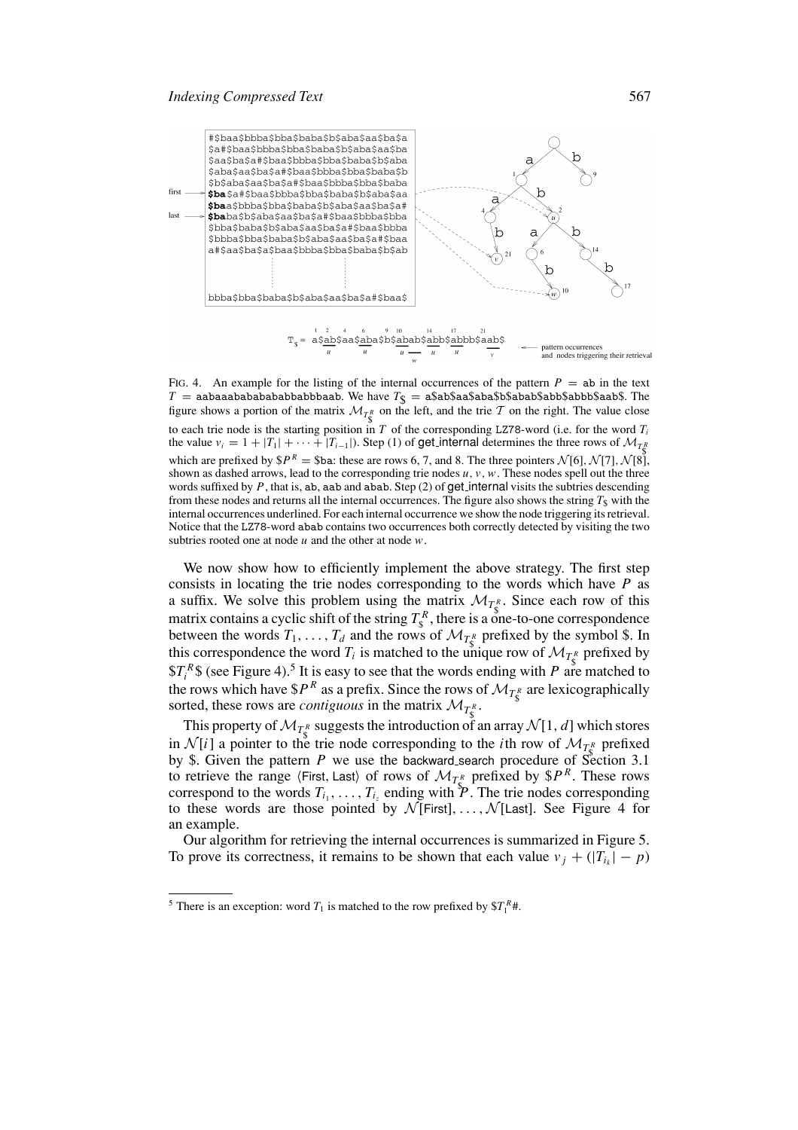

FIG. 4. An example for the listing of the internal occurrences of the pattern  $P = ab$  in the text  $T =$  aabaaabababababbaabbbaab. We have  $T_{\$} =$  a $\$$ ab $\$$ aa $\$$ aba $\$$ abab $\$$ abb $\$$ aab $\$$ . The figure shows a portion of the matrix  $\mathcal{M}_{T^R_S}$  on the left, and the trie T on the right. The value close to each trie node is the starting position in *T* of the corresponding LZ78-word (i.e. for the word *Ti* the value  $v_i = 1 + |T_1| + \cdots + |T_{i-1}|$ . Step (1) of get\_internal determines the three rows of  $\mathcal{M}_{T_k^R}$ which are prefixed by  $$P^R = $ba$ : these are rows 6, 7, and 8. The three pointers  $\mathcal{N}[6], \mathcal{N}[7], \mathcal{N}[8],$ shown as dashed arrows, lead to the corresponding trie nodes *u*, *v*,*w*. These nodes spell out the three words suffixed by *P*, that is, ab, aab and abab. Step (2) of get internal visits the subtries descending from these nodes and returns all the internal occurrences. The figure also shows the string  $T<sub>s</sub>$  with the internal occurrences underlined. For each internal occurrence we show the node triggering its retrieval. Notice that the LZ78-word abab contains two occurrences both correctly detected by visiting the two subtries rooted one at node *u* and the other at node *w*.

We now show how to efficiently implement the above strategy. The first step consists in locating the trie nodes corresponding to the words which have *P* as a suffix. We solve this problem using the matrix  $\mathcal{M}_{T_{\S}^R}$ . Since each row of this matrix contains a cyclic shift of the string  $T_s^R$ , there is a one-to-one correspondence between the words  $T_1, \ldots, T_d$  and the rows of  $\mathcal{M}_{T^R_{\mathcal{S}}}$  prefixed by the symbol \$. In this correspondence the word  $T_i$  is matched to the unique row of  $\mathcal{M}_{T^R_s}$  prefixed by  $T_i^R$ \$ (see Figure 4).<sup>5</sup> It is easy to see that the words ending with *P* are matched to the rows which have  $$P^R$$  as a prefix. Since the rows of  $\mathcal{M}_{T^R_s}$  are lexicographically sorted, these rows are *contiguous* in the matrix  $\mathcal{M}_{T^R_{\S}}$ .

This property of  $\mathcal{M}_{T^R}$  suggests the introduction of an array  $\mathcal{N}[1, d]$  which stores in  $\mathcal{N}[i]$  a pointer to the trie node corresponding to the *i*th row of  $\mathcal{M}_{T_R^R}$  prefixed by \$. Given the pattern *P* we use the backward search procedure of Section 3.1 to retrieve the range  $\langle$ First, Last $\rangle$  of rows of  $\mathcal{M}_{T_R}$  prefixed by  $P^R$ . These rows correspond to the words  $T_{i_1}, \ldots, T_{i_z}$  ending with  $\mathcal{P}$ . The trie nodes corresponding to these words are those pointed by  $N$  [First], ...,  $N$  [Last]. See Figure 4 for an example.

Our algorithm for retrieving the internal occurrences is summarized in Figure 5. To prove its correctness, it remains to be shown that each value  $v_j + (|T_{i_k}| - p)$ 

<sup>&</sup>lt;sup>5</sup> There is an exception: word  $T_1$  is matched to the row prefixed by  $T_1^R$ *#*.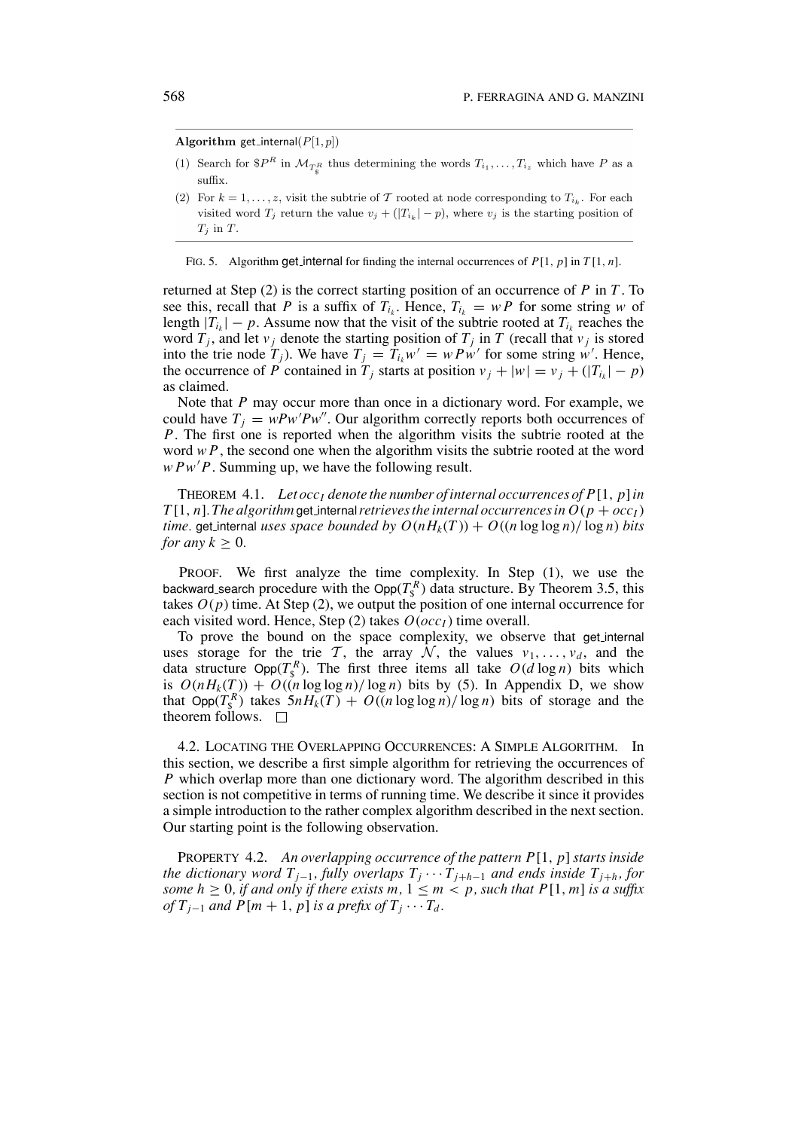Algorithm get\_internal( $P[1,p]$ )

- (1) Search for  $P^R$  in  $\mathcal{M}_{TR}$  thus determining the words  $T_{i_1}, \ldots, T_{i_z}$  which have P as a suffix.
- (2) For  $k = 1, ..., z$ , visit the subtrie of T rooted at node corresponding to  $T_{i_k}$ . For each visited word  $T_j$  return the value  $v_j + (|T_{i_k}|-p)$ , where  $v_j$  is the starting position of  $T_j$  in  $T$ .

FIG. 5. Algorithm get internal for finding the internal occurrences of *P*[1, *p*] in *T* [1, *n*].

returned at Step (2) is the correct starting position of an occurrence of *P* in *T* . To see this, recall that *P* is a suffix of  $T_{i_k}$ . Hence,  $T_{i_k} = w P$  for some string *w* of length  $|T_{i_k}| - p$ . Assume now that the visit of the subtrie rooted at  $T_{i_k}$  reaches the word  $T_j$ , and let  $v_j$  denote the starting position of  $T_j$  in  $T$  (recall that  $v_j$  is stored into the trie node  $T_j$ ). We have  $T_j = T_{i_k}w' = w P w'$  for some string w'. Hence, the occurrence of *P* contained in  $T_j$  starts at position  $v_j + |w| = v_j + (|T_{i_k}| - p)$ as claimed.

Note that *P* may occur more than once in a dictionary word. For example, we could have  $T_j = w P w' P w''$ . Our algorithm correctly reports both occurrences of *P*. The first one is reported when the algorithm visits the subtrie rooted at the word  $w P$ , the second one when the algorithm visits the subtrie rooted at the word  $w P w' P$ . Summing up, we have the following result.

THEOREM 4.1. Let  $occ_l$  denote the number of internal occurrences of  $P[1, p]$  in  $T[1, n]$ . *The algorithm* get internal *retrieves the internal occurrences in*  $O(p + occ_I)$ *time.* get internal *uses space bounded by*  $O(nH_k(T)) + O((n \log \log n)/\log n)$  *bits for any*  $k \geq 0$ *.* 

PROOF. We first analyze the time complexity. In Step (1), we use the backward search procedure with the  $\text{Opp}(T^R_s)$  data structure. By Theorem 3.5, this takes  $O(p)$  time. At Step (2), we output the position of one internal occurrence for each visited word. Hence, Step  $(2)$  takes  $O(occ<sub>I</sub>)$  time overall.

To prove the bound on the space complexity, we observe that get internal uses storage for the trie T, the array  $\overline{\mathcal{N}}$ , the values  $v_1, \ldots, v_d$ , and the data structure  $\text{Opp}(T_{\text{s}}^R)$ . The first three items all take  $O(d \log n)$  bits which is  $O(nH_k(T)) + O((n \log \log n)/ \log n)$  bits by (5). In Appendix D, we show that  $\text{Opp}(T_{\S}^R)$  takes  $5nH_k(T) + O((n \log \log n)/\log n)$  bits of storage and the theorem follows.  $\square$ 

4.2. LOCATING THE OVERLAPPING OCCURRENCES: A SIMPLE ALGORITHM. In this section, we describe a first simple algorithm for retrieving the occurrences of *P* which overlap more than one dictionary word. The algorithm described in this section is not competitive in terms of running time. We describe it since it provides a simple introduction to the rather complex algorithm described in the next section. Our starting point is the following observation.

PROPERTY 4.2. *An overlapping occurrence of the pattern P*[1, *p*] *starts inside the dictionary word*  $T_{j-1}$ *, fully overlaps*  $T_j \cdots T_{j+h-1}$  *and ends inside*  $T_{j+h}$ *, for some h*  $\geq$  0*, if and only if there exists m,*  $1 \leq m < p$ *, such that P*[1*, m*] *is a suffix of*  $T_{i-1}$  *and*  $P[m+1, p]$  *is a prefix of*  $T_i \cdots T_d$ *.*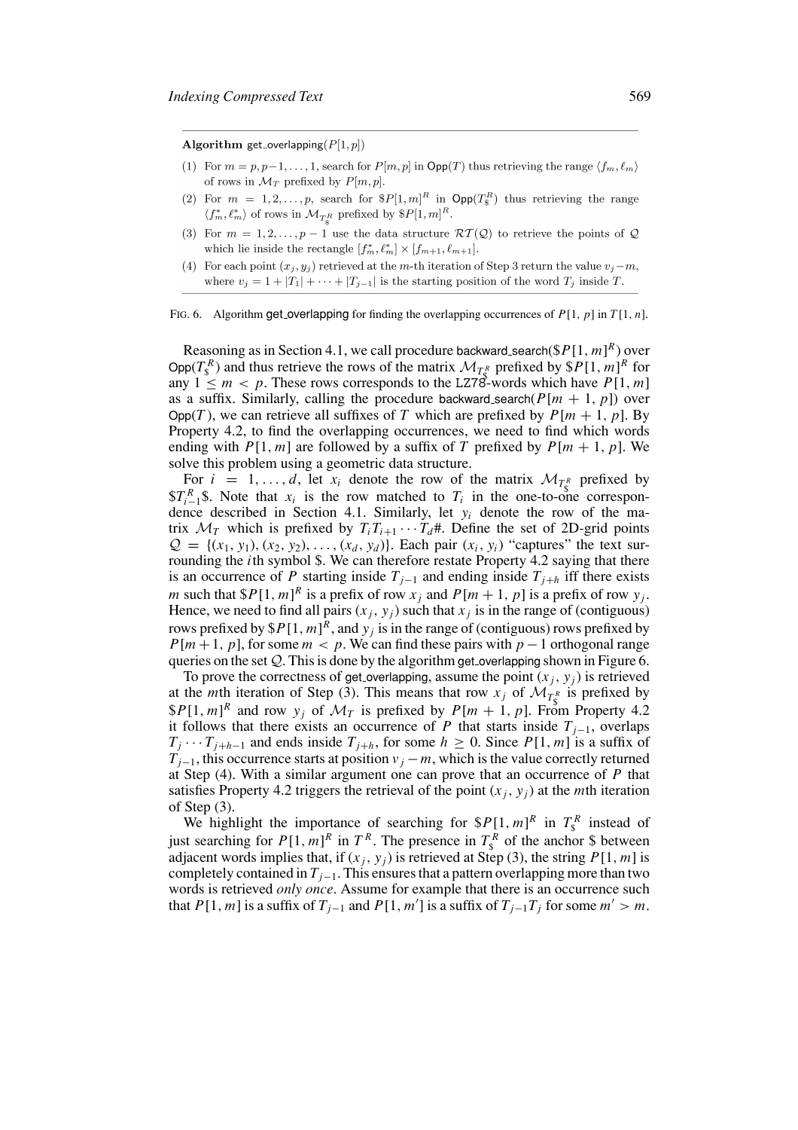Algorithm get\_overlapping( $P[1,p]$ )

- (1) For  $m = p, p-1, \ldots, 1$ , search for  $P[m, p]$  in  $\text{Opp}(T)$  thus retrieving the range  $\langle f_m, \ell_m \rangle$ of rows in  $\mathcal{M}_T$  prefixed by  $P[m, p]$ .
- (2) For  $m = 1, 2, ..., p$ , search for  $P[1,m]^R$  in  $\text{Opp}(T^R_s)$  thus retrieving the range  $\langle f_m^*, \ell_m^* \rangle$  of rows in  $\mathcal{M}_{T_{\alpha}}$  prefixed by  $P[1, m]^R$ .
- (3) For  $m = 1, 2, ..., p 1$  use the data structure  $\mathcal{RT}(\mathcal{Q})$  to retrieve the points of  $\mathcal Q$ which lie inside the rectangle  $[f_m^*, \ell_m^*] \times [f_{m+1}, \ell_{m+1}].$
- (4) For each point  $(x_i, y_i)$  retrieved at the *m*-th iteration of Step 3 return the value  $v_i m$ , where  $v_j = 1 + |T_1| + \cdots + |T_{j-1}|$  is the starting position of the word  $T_j$  inside T.

#### FIG. 6. Algorithm get overlapping for finding the overlapping occurrences of *P*[1, *p*] in *T* [1, *n*].

Reasoning as in Section 4.1, we call procedure backward search( $P[1, m]^R$ ) over Opp $(T_s^R)$  and thus retrieve the rows of the matrix  $\mathcal{M}_{T_s^R}$  prefixed by  $\$P[1, m]^R$  for any  $1 \leq m < p$ . These rows corresponds to the LZ78-words which have  $P[1, m]$ as a suffix. Similarly, calling the procedure backward search( $P[m + 1, p]$ ) over Opp(*T*), we can retrieve all suffixes of *T* which are prefixed by  $P[m + 1, p]$ . By Property 4.2, to find the overlapping occurrences, we need to find which words ending with  $P[1, m]$  are followed by a suffix of *T* prefixed by  $P[m + 1, p]$ . We solve this problem using a geometric data structure.

For  $i = 1, ..., d$ , let  $x_i$  denote the row of the matrix  $\mathcal{M}_{T^R}$  prefixed by  $T_{i-1}^R$ \$. Note that  $x_i$  is the row matched to  $T_i$  in the one-to-one correspondence described in Section 4.1. Similarly, let *yi* denote the row of the matrix  $\mathcal{M}_T$  which is prefixed by  $T_i T_{i+1} \cdots T_d$ #. Define the set of 2D-grid points  $\mathcal{Q} = \{(x_1, y_1), (x_2, y_2), \ldots, (x_d, y_d)\}\$ . Each pair  $(x_i, y_i)$  "captures" the text surrounding the *i*th symbol \$. We can therefore restate Property 4.2 saying that there is an occurrence of *P* starting inside  $T_{j-1}$  and ending inside  $T_{j+h}$  iff there exists *m* such that  $$P[1, m]^R$  is a prefix of row  $x_j$  and  $P[m + 1, p]$  is a prefix of row  $y_j$ . Hence, we need to find all pairs  $(x_j, y_j)$  such that  $x_j$  is in the range of (contiguous) rows prefixed by  $P[1, m]^R$ , and  $y_j$  is in the range of (contiguous) rows prefixed by  $P[m+1, p]$ , for some  $m < p$ . We can find these pairs with  $p-1$  orthogonal range queries on the set  $Q$ . This is done by the algorithm get overlapping shown in Figure 6.

To prove the correctness of get overlapping, assume the point  $(x_i, y_j)$  is retrieved at the *m*th iteration of Step (3). This means that row  $x_j$  of  $\mathcal{M}_{T^R}$  is prefixed by  $$P[1, m]^R$$  and row  $y_j$  of  $\mathcal{M}_T$  is prefixed by  $P[m + 1, p]$ . From Property 4.2 it follows that there exists an occurrence of *P* that starts inside  $T_{i-1}$ , overlaps  $T_j \cdots T_{j+h-1}$  and ends inside  $T_{j+h}$ , for some  $h \ge 0$ . Since  $P[1, m]$  is a suffix of  $T_{j-1}$ , this occurrence starts at position  $v_j - m$ , which is the value correctly returned at Step (4). With a similar argument one can prove that an occurrence of *P* that satisfies Property 4.2 triggers the retrieval of the point  $(x_i, y_i)$  at the *m*th iteration of Step (3).

We highlight the importance of searching for  $P[1, m]^R$  in  $T_s^R$  instead of just searching for  $P[1, m]^R$  in  $T^R$ . The presence in  $T^R$  of the anchor \$ between adjacent words implies that, if  $(x_j, y_j)$  is retrieved at Step (3), the string  $P[1, m]$  is completely contained in  $T_{i-1}$ . This ensures that a pattern overlapping more than two words is retrieved *only once*. Assume for example that there is an occurrence such that *P*[1, *m*] is a suffix of  $T_{j-1}$  and *P*[1, *m'*] is a suffix of  $T_{j-1}T_j$  for some  $m' > m$ .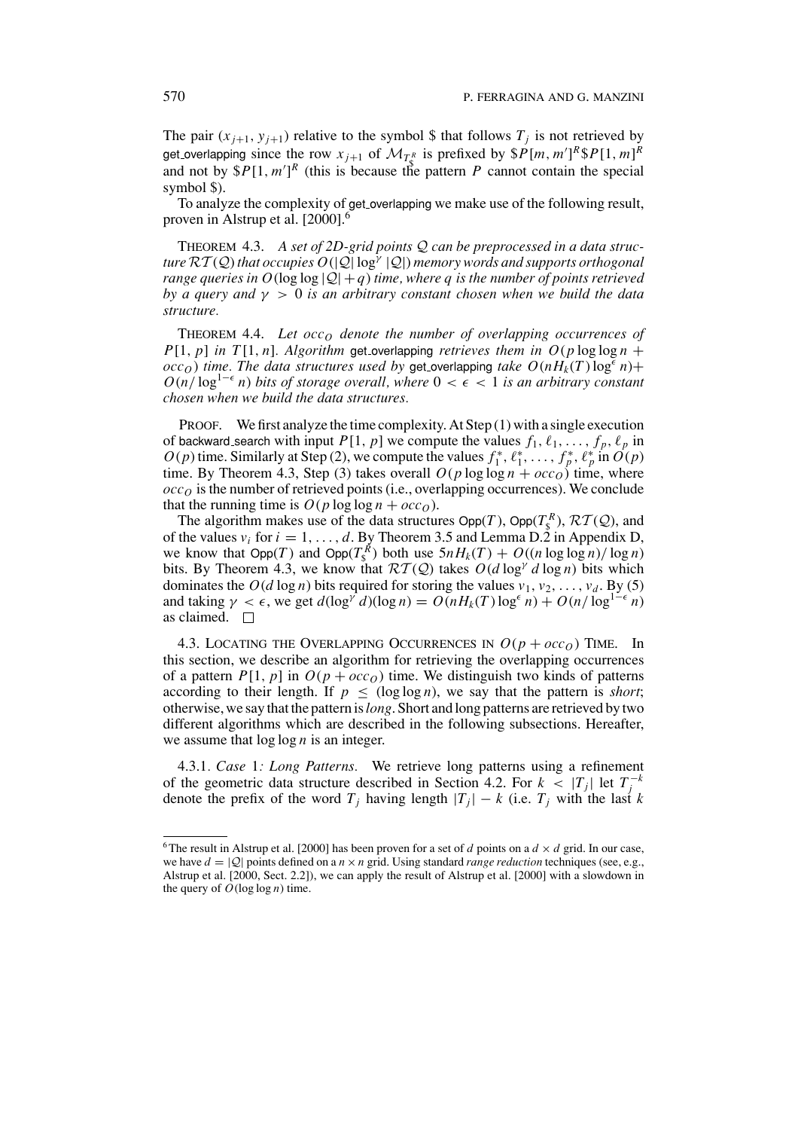The pair  $(x_{j+1}, y_{j+1})$  relative to the symbol \$ that follows  $T_j$  is not retrieved by get overlapping since the row  $x_{j+1}$  of  $\mathcal{M}_{T^R}$  is prefixed by  $\$P[m, m']^R \$P[1, m]^R$ and not by  $P[1, m']^R$  (this is because the pattern *P* cannot contain the special symbol \$).

To analyze the complexity of get overlapping we make use of the following result, proven in Alstrup et al. [2000].<sup>6</sup>

THEOREM 4.3. *A set of 2D-grid points* Q *can be preprocessed in a data structure*  $RT(Q)$  *that occupies*  $O(|Q| \log^{\gamma} |Q|)$  *memory words and supports orthogonal range queries in O*( $log log |Q| + q$ ) *time, where q is the number of points retrieved by a query and* γ > 0 *is an arbitrary constant chosen when we build the data structure.*

THEOREM 4.4. Let  $\operatorname{occ}_O$  denote the number of overlapping occurrences of *P*[1, *p*] *in T*[1, *n*]*. Algorithm* get overlapping *retrieves them in*  $O(p \log \log n +$  $\langle occ<sub>O</sub> \rangle$  *time. The data structures used by get overlapping <i>take O*( $nH_k(T)$ log<sup> $\epsilon$ </sup> $n$ )+  $O(n/\log^{1-\epsilon} n)$  *bits of storage overall, where*  $0 < \epsilon < 1$  *is an arbitrary constant chosen when we build the data structures.*

PROOF. We first analyze the time complexity. At Step (1) with a single execution of backward search with input  $P[1, p]$  we compute the values  $f_1, \ell_1, \ldots, f_p, \ell_p$  in *O*(*p*) time. Similarly at Step (2), we compute the values  $f_1^*, \ell_1^*, \ldots, f_p^*, \ell_p^*$  in  $O(p)$ time. By Theorem 4.3, Step (3) takes overall  $O(p \log \log n + occ_0)$  time, where  $\overline{occ}_O$  is the number of retrieved points (i.e., overlapping occurrences). We conclude that the running time is  $O(p \log \log n + occ_0)$ .

The algorithm makes use of the data structures  $\text{Opp}(T)$ ,  $\text{Opp}(T_s^R)$ ,  $\mathcal{RT}(\mathcal{Q})$ , and of the values  $v_i$  for  $i = 1, \ldots, d$ . By Theorem 3.5 and Lemma D.2 in Appendix D, we know that  $\text{Opp}(T)$  and  $\text{Opp}(T_s^R)$  both use  $5nH_k(T) + O((n \log \log n)/\log n)$ bits. By Theorem 4.3, we know that  $\mathcal{RT}(\mathcal{Q})$  takes  $O(d \log^{\gamma} d \log n)$  bits which dominates the  $O(d \log n)$  bits required for storing the values  $v_1, v_2, \ldots, v_d$ . By (5) and taking  $\gamma < \epsilon$ , we get  $d(\log^{\gamma} d)(\log n) = O(nH_k(T) \log^{\epsilon} n) + O(n/\log^{1-\epsilon} n)$ as claimed.  $\square$ 

4.3. LOCATING THE OVERLAPPING OCCURRENCES IN  $O(p + occ<sub>O</sub>)$  TIME. In this section, we describe an algorithm for retrieving the overlapping occurrences of a pattern  $P[1, p]$  in  $O(p + occ<sub>O</sub>)$  time. We distinguish two kinds of patterns according to their length. If  $p \leq (\log \log n)$ , we say that the pattern is *short*; otherwise, we say that the pattern is*long*. Short and long patterns are retrieved by two different algorithms which are described in the following subsections. Hereafter, we assume that log log *n* is an integer.

4.3.1*. Case* 1*: Long Patterns.* We retrieve long patterns using a refinement of the geometric data structure described in Section 4.2. For  $k < |T_j|$  let  $T_j^{-k}$ denote the prefix of the word  $T_j$  having length  $|T_j| - k$  (i.e.  $T_j$  with the last *k* 

<sup>&</sup>lt;sup>6</sup>The result in Alstrup et al. [2000] has been proven for a set of *d* points on a  $d \times d$  grid. In our case, we have  $d = |Q|$  points defined on a  $n \times n$  grid. Using standard *range reduction* techniques (see, e.g., Alstrup et al. [2000, Sect. 2.2]), we can apply the result of Alstrup et al. [2000] with a slowdown in the query of  $O(\log \log n)$  time.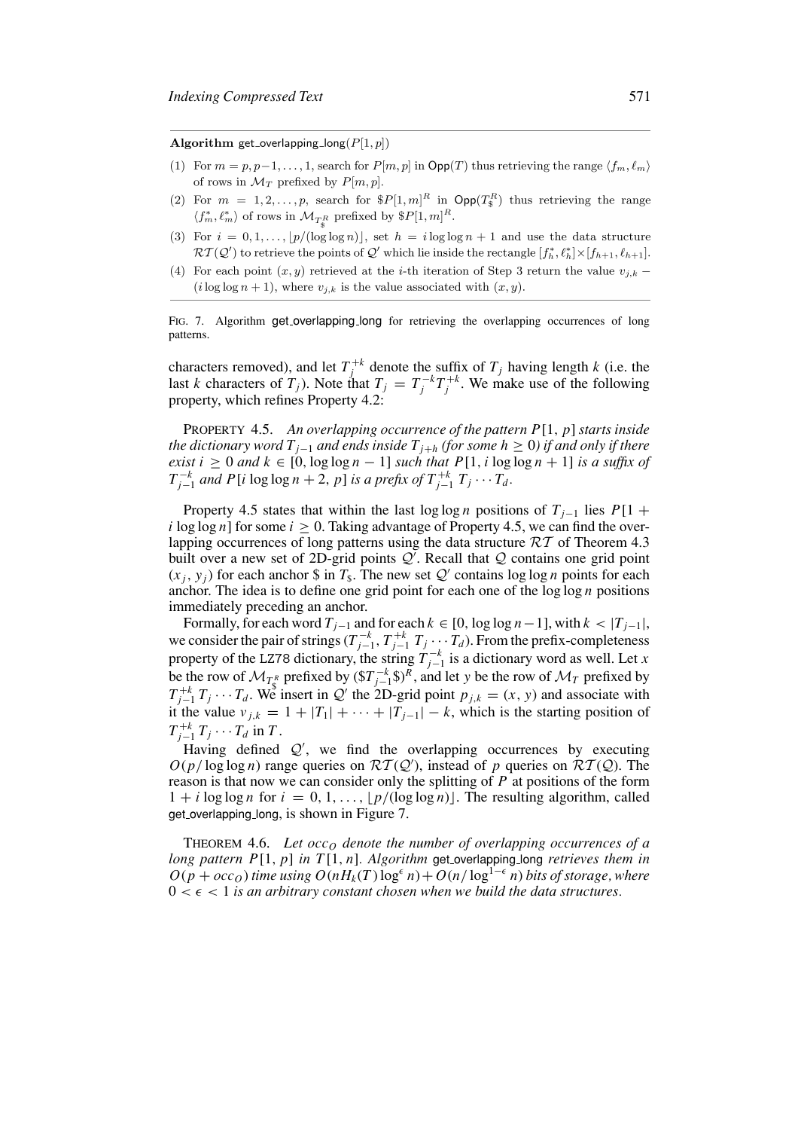Algorithm get\_overlapping\_long( $P[1, p]$ )

- (1) For  $m = p, p-1, \ldots, 1$ , search for  $P[m, p]$  in  $\textsf{Opp}(T)$  thus retrieving the range  $\langle f_m, \ell_m \rangle$ of rows in  $\mathcal{M}_T$  prefixed by  $P[m, p]$ .
- (2) For  $m = 1, 2, ..., p$ , search for  $P[1,m]^R$  in  $\text{Opp}(T^R_s)$  thus retrieving the range  $\langle f_m^*, \ell_m^* \rangle$  of rows in  $\mathcal{M}_{T^R_{\mathcal{S}}}$  prefixed by  $\$P[1,m]^R$ .
- (3) For  $i = 0, 1, \ldots, |p/(\log \log n)|$ , set  $h = i \log \log n + 1$  and use the data structure  $\mathcal{RT}(\mathcal{Q}')$  to retrieve the points of  $\mathcal{Q}'$  which lie inside the rectangle  $[f_h^*, \ell_h^*] \times [f_{h+1}, \ell_{h+1}].$
- (4) For each point  $(x, y)$  retrieved at the *i*-th iteration of Step 3 return the value  $v_{i,k}$  $(i \log \log n + 1)$ , where  $v_{i,k}$  is the value associated with  $(x, y)$ .

FIG. 7. Algorithm get overlapping long for retrieving the overlapping occurrences of long patterns.

characters removed), and let  $T_j^{+k}$  denote the suffix of  $T_j$  having length *k* (i.e. the last *k* characters of  $T_j$ ). Note that  $T_j = T_j^{-k}T_j^{+k}$ . We make use of the following property, which refines Property 4.2:

PROPERTY 4.5. *An overlapping occurrence of the pattern P*[1, *p*] *starts inside the dictionary word Tj*<sup>−</sup><sup>1</sup> *and ends inside Tj*<sup>+</sup>*<sup>h</sup> (for some h* ≥ 0*) if and only if there exist*  $i \geq 0$  *and*  $k \in [0, \log \log n - 1]$  *such that*  $P[1, i \log \log n + 1]$  *is a suffix of T*<sub>*j*−1</sub> *and P*[*i* log log *n* + 2, *p*] *is a prefix of*  $T_{j-1}^{+k}$   $T_j$  ···  $T_a$ .

Property 4.5 states that within the last log log *n* positions of  $T_{i-1}$  lies  $P[1 +$ *i* log log *n*] for some  $i \geq 0$ . Taking advantage of Property 4.5, we can find the overlapping occurrences of long patterns using the data structure  $RT$  of Theorem 4.3 built over a new set of 2D-grid points  $Q^{\prime}$ . Recall that  $Q$  contains one grid point  $(x_i, y_i)$  for each anchor \$ in  $T_s$ . The new set  $Q'$  contains log log *n* points for each anchor. The idea is to define one grid point for each one of the log log *n* positions immediately preceding an anchor.

Formally, for each word  $T_{i-1}$  and for each  $k \in [0, \log \log n - 1]$ , with  $k < |T_{i-1}|$ , we consider the pair of strings  $(T_{j-1}^{-k}, T_{j-1}^{+k}, T_j \cdots T_d)$ . From the prefix-completeness property of the LZ78 dictionary, the string  $T_{j-1}^{-k}$  is a dictionary word as well. Let *x* be the row of  $\mathcal{M}_{T_K^R}$  prefixed by  $(\$T_{j-1}^{-k}\$)^R$ , and let *y* be the row of  $\mathcal{M}_T$  prefixed by  $T_{j-1}^{+k} T_j \cdots T_d$ . We insert in Q' the 2D-grid point  $p_{j,k} = (x, y)$  and associate with it the value  $v_{j,k} = 1 + |T_1| + \cdots + |T_{j-1}| - k$ , which is the starting position of  $T_{j-1}^{+k} T_j \cdots T_d$  in *T*.

Having defined  $Q'$ , we find the overlapping occurrences by executing  $O(p/\log\log n)$  range queries on  $RT(Q')$ , instead of *p* queries on  $RT(Q)$ . The reason is that now we can consider only the splitting of *P* at positions of the form  $1 + i \log \log n$  for  $i = 0, 1, \ldots, |p/(\log \log n)|$ . The resulting algorithm, called get overlapping long, is shown in Figure 7.

THEOREM 4.6. Let  $\operatorname{occ}_O$  denote the number of overlapping occurrences of a *long pattern P*[1, *p*] *in T* [1, *n*]*. Algorithm* get overlapping long *retrieves them in*  $O(p + occ<sub>O</sub>)$  *time using*  $O(nH<sub>k</sub>(T) \log^{\epsilon} n) + O(n/\log^{1-\epsilon} n)$  *bits of storage, where*  $0 < \epsilon < 1$  *is an arbitrary constant chosen when we build the data structures.*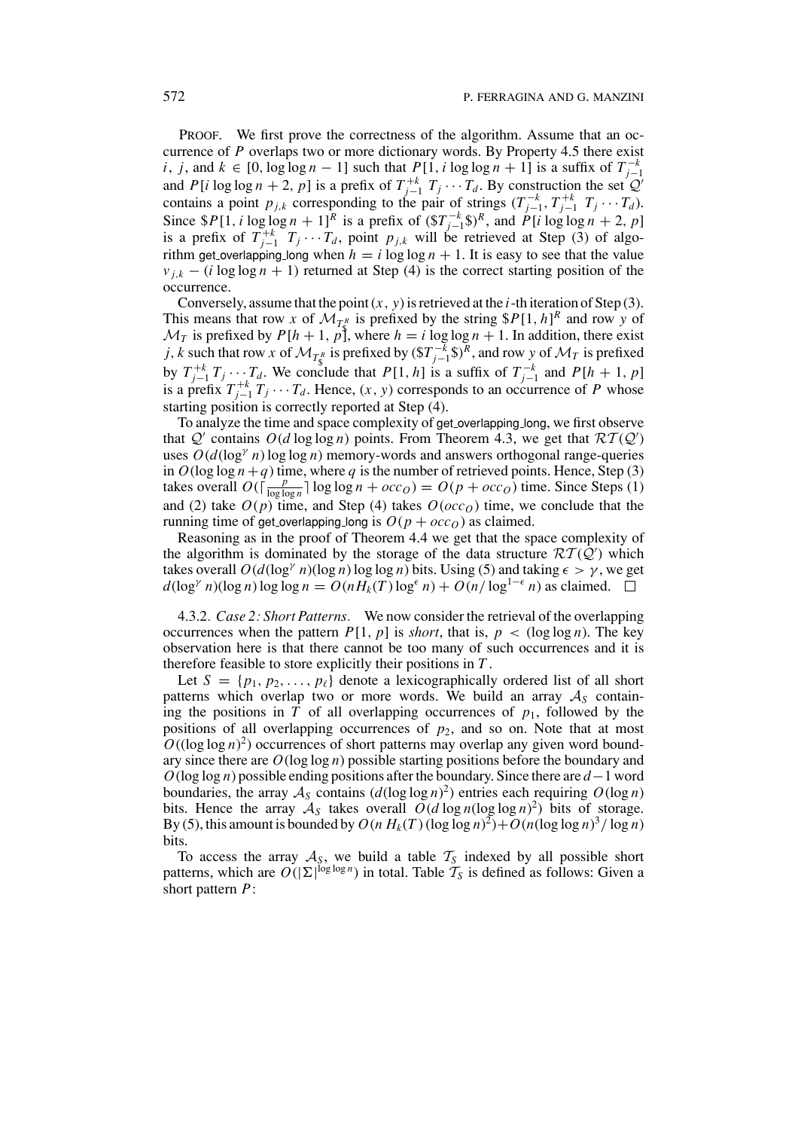PROOF. We first prove the correctness of the algorithm. Assume that an occurrence of *P* overlaps two or more dictionary words. By Property 4.5 there exist *i*, *j*, and  $k \in [0, \log \log n - 1]$  such that  $P[1, i \log \log n + 1]$  is a suffix of  $T_{i-1}^{-k}$ and *P*[*i* log log *n* + 2, *p*] is a prefix of  $T_{j-1}^{+k}$   $T_j \cdots T_d$ . By construction the set  $Q'$  and *P*[*i* log log *n* + 2, *p*] is a prefix of  $T_{j-1}^{+k}$   $T_j \cdots T_d$ . By construction the set  $Q'$ contains a point  $p_{j,k}$  corresponding to the pair of strings  $(T_{j-1}^{-k}, T_{j-1}^{+k}, T_j \cdots T_d)$ . Since  $$P[1, i \log \log n + 1]^R$ is a prefix of  $(\$T_{j-1}^{-k} \$)^R$$ , and  $P[i \log \log n + 2, p]$$ is a prefix of  $T_{j-1}^{+k}$   $T_j \cdots T_d$ , point  $p_{j,k}$  will be retrieved at Step (3) of algorithm get overlapping long when  $h = i \log \log n + 1$ . It is easy to see that the value  $v_{i,k}$  − (*i* log log *n* + 1) returned at Step (4) is the correct starting position of the occurrence.

Conversely, assume that the point  $(x, y)$  is retrieved at the *i*-th iteration of Step  $(3)$ . This means that row *x* of  $\mathcal{M}_{TR}$  is prefixed by the string  $P[1, h]^R$  and row *y* of  $\mathcal{M}_T$  is prefixed by  $P[h + 1, p]$ , where  $h = i \log \log n + 1$ . In addition, there exist *j*, *k* such that row *x* of  $\mathcal{M}_{T_{\mathbb{S}}^R}$  is prefixed by  $(\$T_{j-1}^{-k}\$)^R$ , and row *y* of  $\mathcal{M}_T$  is prefixed by  $T_{j-1}^{+k}T_j \cdots T_d$ . We conclude that  $P[1, h]$  is a suffix of  $T_{j-1}^{-k}$  and  $P[h + 1, p]$ is a prefix  $T_{j-1}^{+k}T_j \cdots T_d$ . Hence,  $(x, y)$  corresponds to an occurrence of *P* whose starting position is correctly reported at Step (4).

To analyze the time and space complexity of get overlapping long, we first observe that  $Q'$  contains  $O(d \log \log n)$  points. From Theorem 4.3, we get that  $RT(Q')$ uses  $O(d(\log^\gamma n) \log \log n)$  memory-words and answers orthogonal range-queries in  $O(\log \log n + q)$  time, where q is the number of retrieved points. Hence, Step (3) takes overall  $O(\sqrt{\frac{p}{\log \log n}}) \log \log n + occ_O) = O(p + occ_O)$  time. Since Steps (1) and (2) take  $O(p)$  time, and Step (4) takes  $O(occ<sub>O</sub>)$  time, we conclude that the running time of get overlapping long is  $O(p + occ<sub>O</sub>)$  as claimed.

Reasoning as in the proof of Theorem 4.4 we get that the space complexity of the algorithm is dominated by the storage of the data structure  $\mathcal{RT}(\hat{Q}')$  which takes overall  $O(d(\log^{\gamma} n)(\log n) \log \log n)$  bits. Using (5) and taking  $\epsilon > \gamma$ , we get  $d(\log^{\gamma} n)(\log n) \log \log n = O(nH_k(T) \log^{\epsilon} n) + O(n/\log^{1-\epsilon} n)$  as claimed.  $\square$ 

4.3.2*. Case 2: Short Patterns.* We now consider the retrieval of the overlapping occurrences when the pattern  $P[1, p]$  is *short*, that is,  $p < (\log \log n)$ . The key observation here is that there cannot be too many of such occurrences and it is therefore feasible to store explicitly their positions in *T* .

Let  $S = \{p_1, p_2, \ldots, p_\ell\}$  denote a lexicographically ordered list of all short patterns which overlap two or more words. We build an array  $A<sub>S</sub>$  containing the positions in  $\overline{T}$  of all overlapping occurrences of  $p_1$ , followed by the positions of all overlapping occurrences of *p*2, and so on. Note that at most  $O((\log \log n)^2)$  occurrences of short patterns may overlap any given word boundary since there are *O*(log log *n*) possible starting positions before the boundary and *O*(log log *n*) possible ending positions after the boundary. Since there are *d*−1 word boundaries, the array  $A_S$  contains  $(d(\log \log n)^2)$  entries each requiring  $O(\log n)$ bits. Hence the array  $A_S$  takes overall  $O(d \log n (\log \log n)^2)$  bits of storage. By (5), this amount is bounded by  $O(n H_k(T) (\log \log n)^2) + O(n (\log \log n)^3 / \log n)$ bits.

To access the array  $A<sub>S</sub>$ , we build a table  $T<sub>S</sub>$  indexed by all possible short patterns, which are  $O(|\Sigma|^{\log \log n})$  in total. Table  $\mathcal{T}_S$  is defined as follows: Given a short pattern *P*: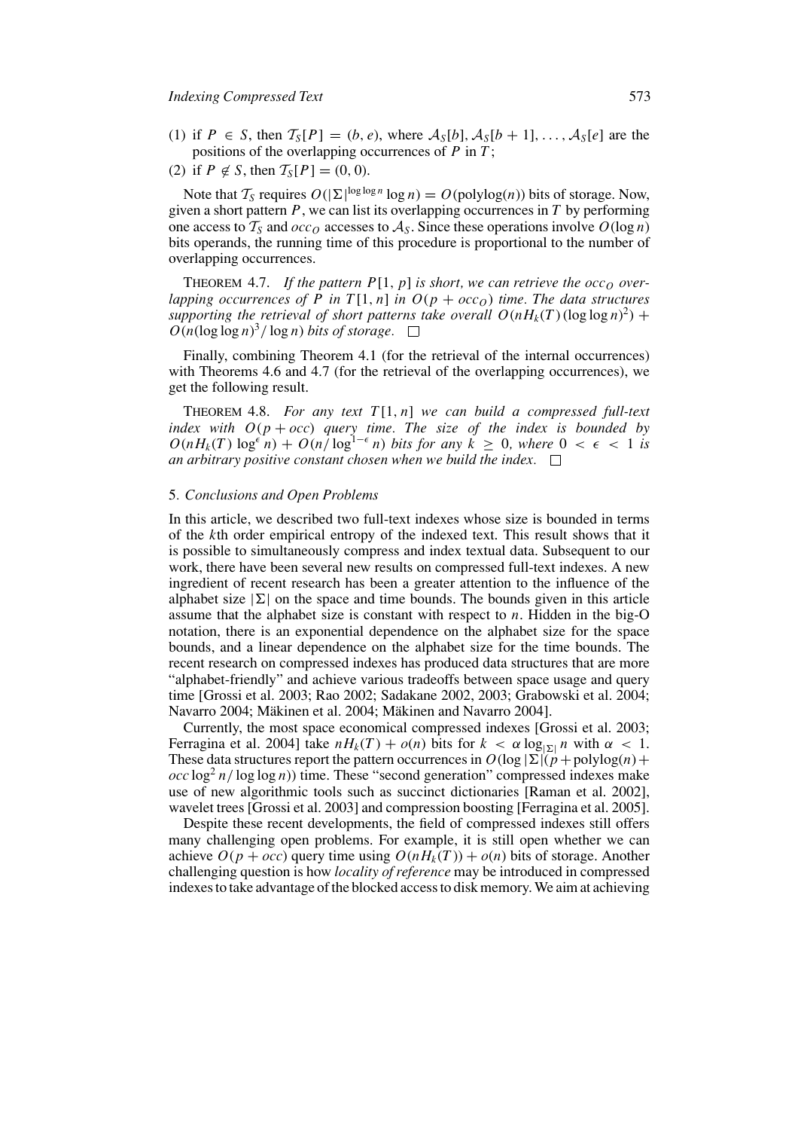- (1) if  $P \in S$ , then  $\mathcal{T}_S[P] = (b, e)$ , where  $\mathcal{A}_S[b], \mathcal{A}_S[b+1], \ldots, \mathcal{A}_S[e]$  are the positions of the overlapping occurrences of *P* in *T* ;
- (2) if  $P \notin S$ , then  $T_S[P] = (0, 0)$ .

Note that  $T_S$  requires  $O(|\Sigma|^{\log \log n} \log n) = O(\text{polylog}(n))$  bits of storage. Now, given a short pattern *P*, we can list its overlapping occurrences in *T* by performing one access to  $T_S$  and  $\alpha c \circ \alpha$  accesses to  $A_S$ . Since these operations involve  $O(\log n)$ bits operands, the running time of this procedure is proportional to the number of overlapping occurrences.

THEOREM 4.7. If the pattern  $P[1, p]$  is short, we can retrieve the  $\operatorname{occ}_O$  over*lapping occurrences of P in*  $T[1, n]$  *in*  $O(p + occ_0)$  *time. The data structures* supporting the retrieval of short patterns take overall  $O(nH_k(T)(\log \log n)^2)$  +  $O(n(\log \log n)^3/\log n)$  *bits of storage.* 

Finally, combining Theorem 4.1 (for the retrieval of the internal occurrences) with Theorems 4.6 and 4.7 (for the retrieval of the overlapping occurrences), we get the following result.

THEOREM 4.8. *For any text T* [1, *n*] *we can build a compressed full-text index with O*(*p* + *occ*) *query time. The size of the index is bounded by*  $O(nH_k(T) \log^{\epsilon} n) + O(n/\log^{1-\epsilon} n)$  *bits for any*  $k \geq 0$ *, where*  $0 < \epsilon < 1$  *is an arbitrary positive constant chosen when we build the index.*

#### 5*. Conclusions and Open Problems*

In this article, we described two full-text indexes whose size is bounded in terms of the *k*th order empirical entropy of the indexed text. This result shows that it is possible to simultaneously compress and index textual data. Subsequent to our work, there have been several new results on compressed full-text indexes. A new ingredient of recent research has been a greater attention to the influence of the alphabet size  $|\Sigma|$  on the space and time bounds. The bounds given in this article assume that the alphabet size is constant with respect to *n*. Hidden in the big-O notation, there is an exponential dependence on the alphabet size for the space bounds, and a linear dependence on the alphabet size for the time bounds. The recent research on compressed indexes has produced data structures that are more "alphabet-friendly" and achieve various tradeoffs between space usage and query time [Grossi et al. 2003; Rao 2002; Sadakane 2002, 2003; Grabowski et al. 2004; Navarro 2004; Mäkinen et al. 2004; Mäkinen and Navarro 2004].

Currently, the most space economical compressed indexes [Grossi et al. 2003; Ferragina et al. 2004] take  $nH_k(T) + o(n)$  bits for  $k < \alpha \log_{|\Sigma|} n$  with  $\alpha < 1$ . These data structures report the pattern occurrences in  $O(\log |\Sigma| (p + \text{polylog}(n)) +$  $\int$ *occ* log<sup>2</sup> *n*/ log log *n*)) time. These "second generation" compressed indexes make use of new algorithmic tools such as succinct dictionaries [Raman et al. 2002], wavelet trees [Grossi et al. 2003] and compression boosting [Ferragina et al. 2005].

Despite these recent developments, the field of compressed indexes still offers many challenging open problems. For example, it is still open whether we can achieve  $O(p + occ)$  query time using  $O(nH_k(T)) + o(n)$  bits of storage. Another challenging question is how *locality of reference* may be introduced in compressed indexes to take advantage of the blocked access to disk memory. We aim at achieving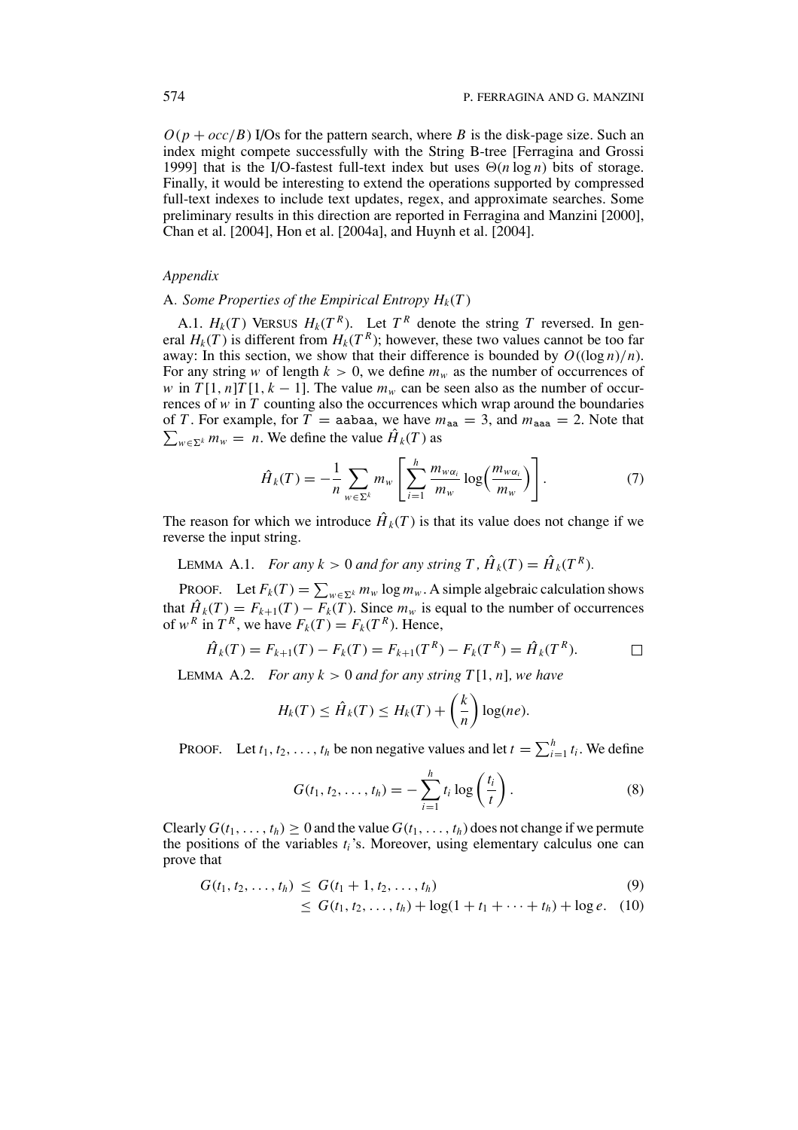$O(p + occ/B)$  I/Os for the pattern search, where *B* is the disk-page size. Such an index might compete successfully with the String B-tree [Ferragina and Grossi 1999] that is the I/O-fastest full-text index but uses  $\Theta(n \log n)$  bits of storage. Finally, it would be interesting to extend the operations supported by compressed full-text indexes to include text updates, regex, and approximate searches. Some preliminary results in this direction are reported in Ferragina and Manzini [2000], Chan et al. [2004], Hon et al. [2004a], and Huynh et al. [2004].

#### *Appendix*

### A. *Some Properties of the Empirical Entropy*  $H_k(T)$

A.1.  $H_k(T)$  VERSUS  $H_k(T^R)$ . Let  $T^R$  denote the string  $T$  reversed. In general  $H_k(T)$  is different from  $H_k(T^R)$ ; however, these two values cannot be too far away: In this section, we show that their difference is bounded by  $O((\log n)/n)$ . For any string *w* of length  $k > 0$ , we define  $m_w$  as the number of occurrences of *w* in  $T[1, n]T[1, k - 1]$ . The value  $m_w$  can be seen also as the number of occurrences of *w* in *T* counting also the occurrences which wrap around the boundaries  $\sum_{w \in \Sigma^k} m_w = n$ . We define the value  $\hat{H}_k(T)$  as of *T*. For example, for  $\overline{T}$  = aabaa, we have  $m_{aa} = 3$ , and  $m_{aaa} = 2$ . Note that

$$
\hat{H}_k(T) = -\frac{1}{n} \sum_{w \in \Sigma^k} m_w \left[ \sum_{i=1}^h \frac{m_{w\alpha_i}}{m_w} \log \left( \frac{m_{w\alpha_i}}{m_w} \right) \right]. \tag{7}
$$

The reason for which we introduce  $\hat{H}_k(T)$  is that its value does not change if we reverse the input string.

LEMMA A.1. *For any k* > 0 *and for any string T*,  $\hat{H}_k(T) = \hat{H}_k(T^R)$ .

PROOF. Let  $F_k(T) = \sum_{w \in \Sigma^k} m_w \log m_w$ . A simple algebraic calculation shows that  $\hat{H}_k(T) = F_{k+1}(T) - F_k(T)$ . Since  $m_w$  is equal to the number of occurrences of  $w^R$  in  $T^R$ , we have  $F_k(T) = F_k(T^R)$ . Hence,

$$
\hat{H}_k(T) = F_{k+1}(T) - F_k(T) = F_{k+1}(T^R) - F_k(T^R) = \hat{H}_k(T^R).
$$

LEMMA A.2. *For any*  $k > 0$  *and for any string*  $T[1, n]$ *, we have* 

$$
H_k(T) \leq \hat{H}_k(T) \leq H_k(T) + \left(\frac{k}{n}\right) \log(ne).
$$

PROOF. Let  $t_1, t_2, \ldots, t_h$  be non negative values and let  $t = \sum_{i=1}^h t_i$ . We define

$$
G(t_1, t_2, \dots, t_h) = -\sum_{i=1}^h t_i \log \left( \frac{t_i}{t} \right). \tag{8}
$$

Clearly  $G(t_1, \ldots, t_h) \geq 0$  and the value  $G(t_1, \ldots, t_h)$  does not change if we permute the positions of the variables *ti*'s. Moreover, using elementary calculus one can prove that

$$
G(t_1, t_2, \ldots, t_h) \le G(t_1 + 1, t_2, \ldots, t_h)
$$
\n(9)

$$
\leq G(t_1, t_2, \ldots, t_h) + \log(1 + t_1 + \cdots + t_h) + \log e. \quad (10)
$$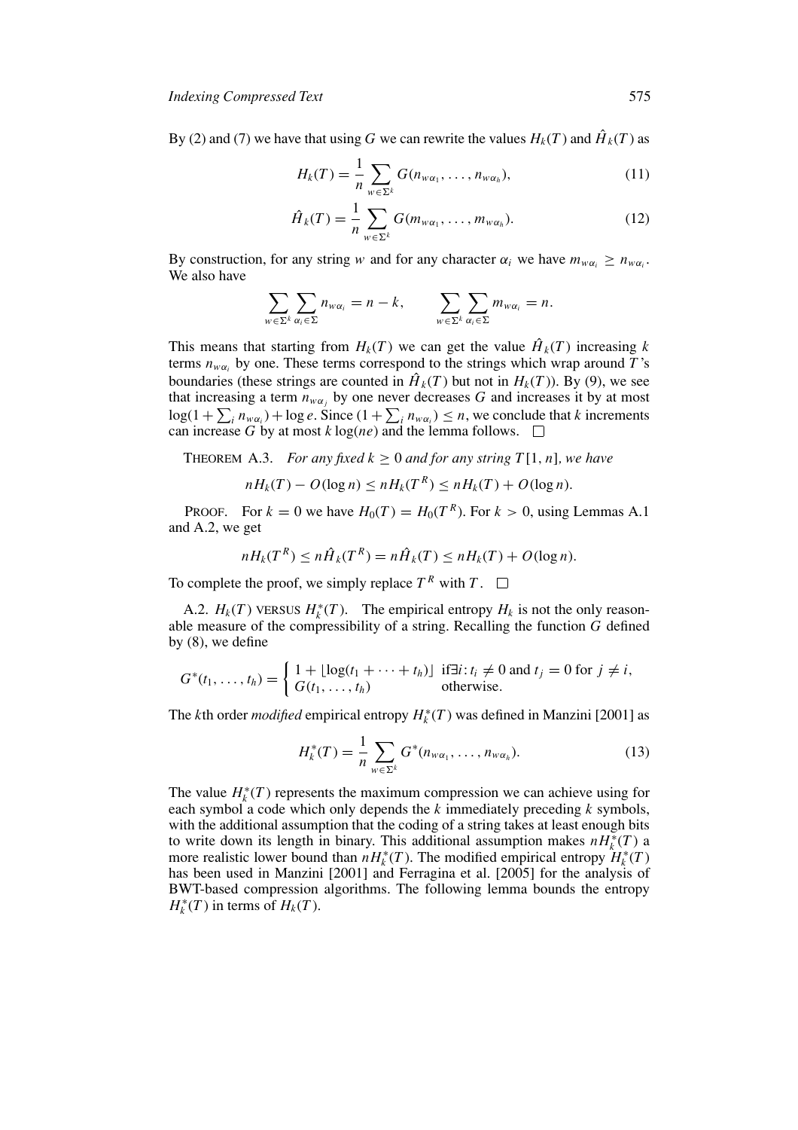By (2) and (7) we have that using *G* we can rewrite the values  $H_k(T)$  and  $\hat{H}_k(T)$  as

$$
H_k(T) = \frac{1}{n} \sum_{w \in \Sigma^k} G(n_{w\alpha_1}, \dots, n_{w\alpha_h}),
$$
\n(11)

$$
\hat{H}_k(T) = \frac{1}{n} \sum_{w \in \Sigma^k} G(m_{w\alpha_1}, \dots, m_{w\alpha_h}).
$$
\n(12)

By construction, for any string *w* and for any character  $\alpha_i$  we have  $m_{w\alpha_i} \geq n_{w\alpha_i}$ . We also have

$$
\sum_{w \in \Sigma^k} \sum_{\alpha_i \in \Sigma} n_{w\alpha_i} = n - k, \qquad \sum_{w \in \Sigma^k} \sum_{\alpha_i \in \Sigma} m_{w\alpha_i} = n.
$$

This means that starting from  $H_k(T)$  we can get the value  $\hat{H}_k(T)$  increasing *k* terms  $n_{w\alpha_i}$  by one. These terms correspond to the strings which wrap around *T*'s boundaries (these strings are counted in  $\hat{H}_k(T)$  but not in  $H_k(T)$ ). By (9), we see that increasing a term  $\overline{n}_{w\alpha_j}$  by one never decreases *G* and increases it by at most  $log(1 + \sum_{i} n_{wa_i}) + log e$ . Since  $(1 + \sum_{i} n_{wa_i}) \leq n$ , we conclude that *k* increments can increase *G* by at most *k* log(*ne*) and the lemma follows.  $\Box$ 

THEOREM A.3. *For any fixed*  $k \geq 0$  *and for any string T*[1, *n*]*, we have* 

$$
nH_k(T) - O(\log n) \le nH_k(T^R) \le nH_k(T) + O(\log n).
$$

PROOF. For  $k = 0$  we have  $H_0(T) = H_0(T^R)$ . For  $k > 0$ , using Lemmas A.1 and A.2, we get

$$
nH_k(T^R) \leq n\hat{H}_k(T^R) = n\hat{H}_k(T) \leq nH_k(T) + O(\log n).
$$

To complete the proof, we simply replace  $T^R$  with  $T$ .  $\Box$ 

A.2.  $H_k(T)$  vERSUS  $H_k^*(T)$ . The empirical entropy  $H_k$  is not the only reasonable measure of the compressibility of a string. Recalling the function *G* defined by (8), we define

$$
G^*(t_1,\ldots,t_h)=\begin{cases}1+\lfloor \log(t_1+\cdots+t_h)\rfloor & \text{if}\exists i:t_i\neq 0\text{ and }t_j=0\text{ for }j\neq i,\\G(t_1,\ldots,t_h)&\text{otherwise.}\end{cases}
$$

The *k*th order *modified* empirical entropy  $H_k^*(T)$  was defined in Manzini [2001] as

$$
H_k^*(T) = \frac{1}{n} \sum_{w \in \Sigma^k} G^*(n_{w\alpha_1}, \dots, n_{w\alpha_h}).
$$
\n(13)

The value  $H_k^*(T)$  represents the maximum compression we can achieve using for each symbol a code which only depends the *k* immediately preceding *k* symbols, with the additional assumption that the coding of a string takes at least enough bits to write down its length in binary. This additional assumption makes  $nH_k^*(T)$  a more realistic lower bound than  $nH_k^*(T)$ . The modified empirical entropy  $H_k^*(T)$ has been used in Manzini [2001] and Ferragina et al. [2005] for the analysis of BWT-based compression algorithms. The following lemma bounds the entropy  $H_k^*(T)$  in terms of  $H_k(T)$ .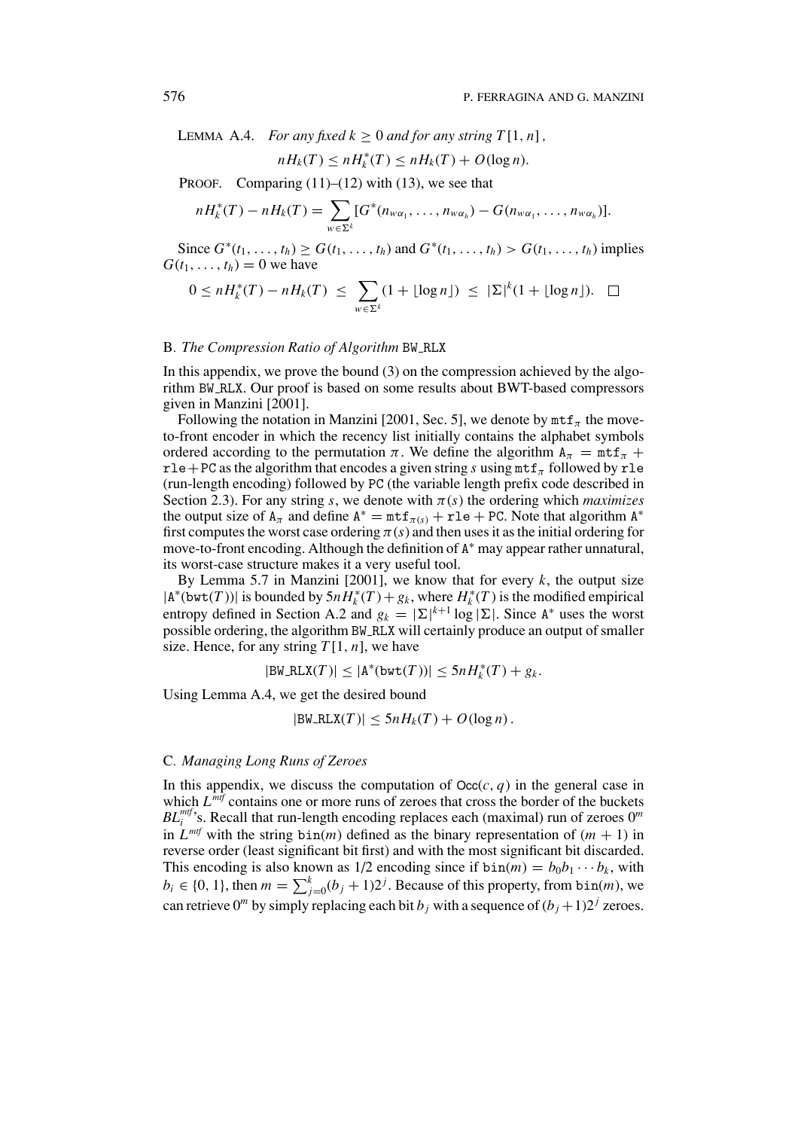LEMMA A.4. *For any fixed k*  $> 0$  *and for any string*  $T[1, n]$ ,

$$
nH_k(T) \le nH_k^*(T) \le nH_k(T) + O(\log n).
$$

PROOF. Comparing  $(11)$ – $(12)$  with  $(13)$ , we see that

$$
nH_k^*(T)-nH_k(T)=\sum_{w\in\Sigma^k}[G^*(n_{w\alpha_1},\ldots,n_{w\alpha_h})-G(n_{w\alpha_1},\ldots,n_{w\alpha_h})].
$$

Since *G*<sup>∗</sup>( $t_1$ ,...,  $t_h$ ) ≥ *G*( $t_1$ ,...,  $t_h$ ) and *G*<sup>∗</sup>( $t_1$ ,...,  $t_h$ ) > *G*( $t_1$ ,...,  $t_h$ ) implies  $G(t_1,\ldots,t_h)=0$  we have

$$
0 \leq nH_k^*(T) - nH_k(T) \leq \sum_{w \in \Sigma^k} (1 + \lfloor \log n \rfloor) \leq |\Sigma|^k (1 + \lfloor \log n \rfloor). \quad \Box
$$

## B*. The Compression Ratio of Algorithm* BW RLX

In this appendix, we prove the bound (3) on the compression achieved by the algorithm BW RLX. Our proof is based on some results about BWT-based compressors given in Manzini [2001].

Following the notation in Manzini [2001, Sec. 5], we denote by  $m \text{tf}_{\pi}$  the moveto-front encoder in which the recency list initially contains the alphabet symbols ordered according to the permutation  $\pi$ . We define the algorithm  $A_{\pi} = m f_{\pi} +$ rle + PC as the algorithm that encodes a given string *s* using  $m$ t  $f_\pi$  followed by rle (run-length encoding) followed by PC (the variable length prefix code described in Section 2.3). For any string *s*, we denote with  $\pi(s)$  the ordering which *maximizes* the output size of  $A_{\pi}$  and define  $A^* = m t f_{\pi(s)} + r l e + P C$ . Note that algorithm  $A^*$ first computes the worst case ordering  $\pi(s)$  and then uses it as the initial ordering for move-to-front encoding. Although the definition of A<sup>∗</sup> may appear rather unnatural, its worst-case structure makes it a very useful tool.

By Lemma 5.7 in Manzini [2001], we know that for every  $k$ , the output size  $|A^*(bwt(T))|$  is bounded by  $5nH_k^*(T) + g_k$ , where  $H_k^*(T)$  is the modified empirical entropy defined in Section A.2 and  $g_k = |\Sigma|^{k+1} \log |\Sigma|$ . Since A<sup>\*</sup> uses the worst possible ordering, the algorithm BW RLX will certainly produce an output of smaller size. Hence, for any string  $T[1, n]$ , we have

$$
|\text{BW\_RLX}(T)| \leq |\text{A}^*(\text{bwt}(T))| \leq 5nH_k^*(T) + g_k.
$$

Using Lemma A.4, we get the desired bound

$$
|\text{BW\_RLX}(T)| \leq 5nH_k(T) + O(\log n).
$$

## C*. Managing Long Runs of Zeroes*

In this appendix, we discuss the computation of  $Occ(c, q)$  in the general case in which  $L^{mtf}$  contains one or more runs of zeroes that cross the border of the buckets  $BL_i^{mtf}$ 's. Recall that run-length encoding replaces each (maximal) run of zeroes  $0^m$ in  $L^{mtf}$  with the string  $bin(m)$  defined as the binary representation of  $(m + 1)$  in reverse order (least significant bit first) and with the most significant bit discarded. This encoding is also known as  $1/2$  encoding since if  $\text{bin}(m) = b_0b_1 \cdots b_k$ , with  $b_i \in \{0, 1\}$ , then  $m = \sum_{j=0}^{k} (b_j + 1)2^j$ . Because of this property, from bin(*m*), we can retrieve  $0^m$  by simply replacing each bit  $b_j$  with a sequence of  $(b_j + 1)2^j$  zeroes.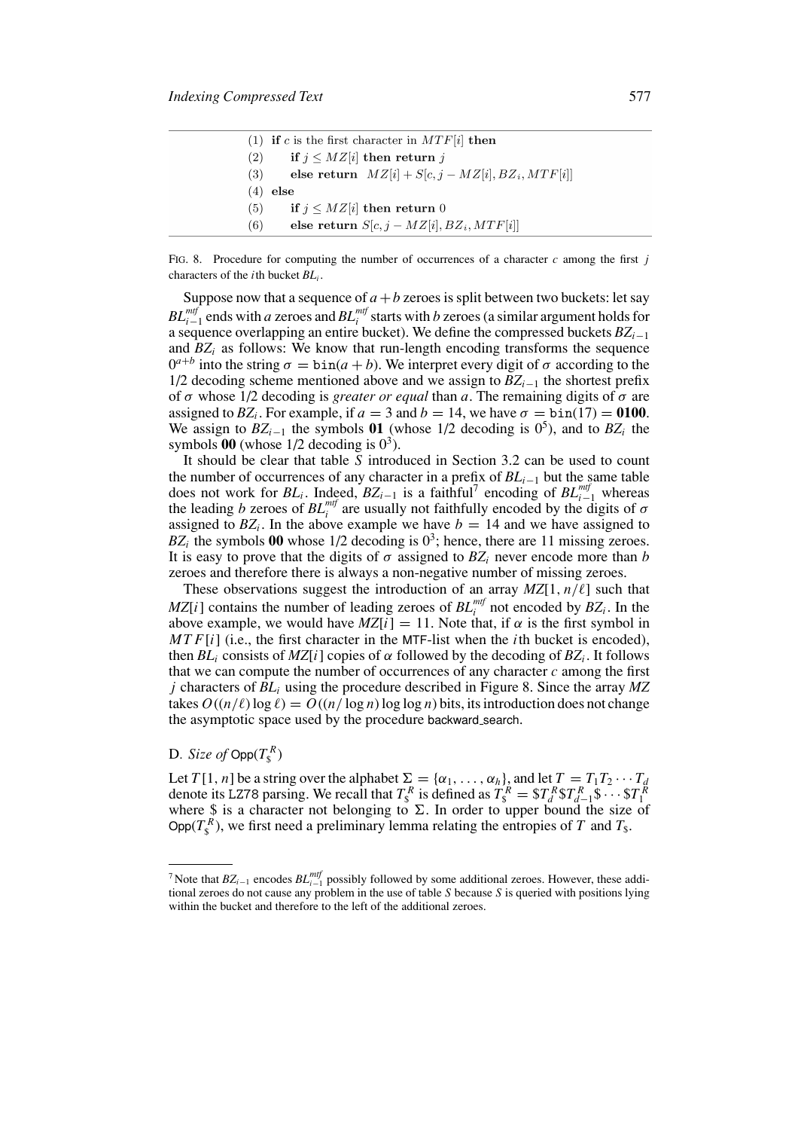|     | (1) if c is the first character in $MTF[i]$ then    |
|-----|-----------------------------------------------------|
| (2) | if $j \leq MZ[i]$ then return j                     |
| (3) | else return $MZ[i] + S[c, j - MZ[i], BZ_i, MTF[i]]$ |
| (4) | else                                                |
| (5) | if $j \leq MZ[i]$ then return 0                     |
| (6) | else return $S[c, j - MZ[i], BZ_i, MTF[i]]$         |

FIG. 8. Procedure for computing the number of occurrences of a character  $c$  among the first  $j$ characters of the *i*th bucket *BLi* .

Suppose now that a sequence of  $a + b$  zeroes is split between two buckets: let say  $BL^{mtf}_{i-1}$  ends with *a* zeroes and  $BL^{mtf}_i$  starts with *b* zeroes (a similar argument holds for a sequence overlapping an entire bucket). We define the compressed buckets *BZi*<sup>−</sup><sup>1</sup> and  $BZ_i$  as follows: We know that run-length encoding transforms the sequence  $0^{a+b}$  into the string  $\sigma = \text{bin}(a+b)$ . We interpret every digit of  $\sigma$  according to the 1/2 decoding scheme mentioned above and we assign to *BZi*<sup>−</sup><sup>1</sup> the shortest prefix of  $\sigma$  whose 1/2 decoding is *greater or equal* than *a*. The remaining digits of  $\sigma$  are assigned to  $BZ_i$ . For example, if  $a = 3$  and  $b = 14$ , we have  $\sigma = \text{bin}(17) = 0100$ . We assign to  $BZ_{i-1}$  the symbols **01** (whose 1/2 decoding is 0<sup>5</sup>), and to  $BZ_i$  the symbols  $00$  (whose  $1/2$  decoding is  $0^3$ ).

It should be clear that table *S* introduced in Section 3.2 can be used to count the number of occurrences of any character in a prefix of *BLi*<sup>−</sup><sup>1</sup> but the same table does not work for *BL<sub>i</sub>*. Indeed,  $BZ_{i-1}$  is a faithful<sup>7</sup> encoding of  $BL_{i-1}^{mtf}$  whereas the leading *b* zeroes of  $BL_i^{mtf}$  are usually not faithfully encoded by the digits of  $\sigma$ assigned to  $BZ_i$ . In the above example we have  $b = 14$  and we have assigned to  $BZ_i$  the symbols 00 whose  $1/2$  decoding is  $0^3$ ; hence, there are 11 missing zeroes. It is easy to prove that the digits of  $\sigma$  assigned to  $BZ_i$  never encode more than *b* zeroes and therefore there is always a non-negative number of missing zeroes.

These observations suggest the introduction of an array  $MZ[1, n/\ell]$  such that  $MZ[i]$  contains the number of leading zeroes of  $BL_i^{mtf}$  not encoded by  $BZ_i$ . In the above example, we would have  $MZ[i] = 11$ . Note that, if  $\alpha$  is the first symbol in *MTF*[*i*] (i.e., the first character in the MTF-list when the *i*th bucket is encoded), then  $BL_i$  consists of  $MZ[i]$  copies of  $\alpha$  followed by the decoding of  $BZ_i$ . It follows that we can compute the number of occurrences of any character  $c$  among the first *j* characters of *BLi* using the procedure described in Figure 8. Since the array *MZ* takes  $O((n/\ell) \log \ell) = O((n/\log n) \log \log n)$  bits, its introduction does not change the asymptotic space used by the procedure backward search.

# D. *Size of*  $\mathsf{Opp}(T^R_\$)$

Let *T*[1, *n*] be a string over the alphabet  $\Sigma = {\alpha_1, \ldots, \alpha_h}$ , and let  $T = T_1 T_2 \cdots T_d$ denote its LZ78 parsing. We recall that  $T_s^R$  is defined as  $T_s^R = \frac{S T_d^R S T_{d-1}^R S \cdots S T_1^R}{S}$ where  $\hat{S}$  is a character not belonging to  $\Sigma$ . In order to upper bound the size of Opp( $T_s^R$ ), we first need a preliminary lemma relating the entropies of *T* and  $T_s$ .

<sup>&</sup>lt;sup>7</sup> Note that *BZ*<sub>*i*−1</sub> encodes *BL*<sup>*mtf*</sup></sup> possibly followed by some additional zeroes. However, these additional zeroes do not cause any problem in the use of table *S* because *S* is queried with positions lying within the bucket and therefore to the left of the additional zeroes.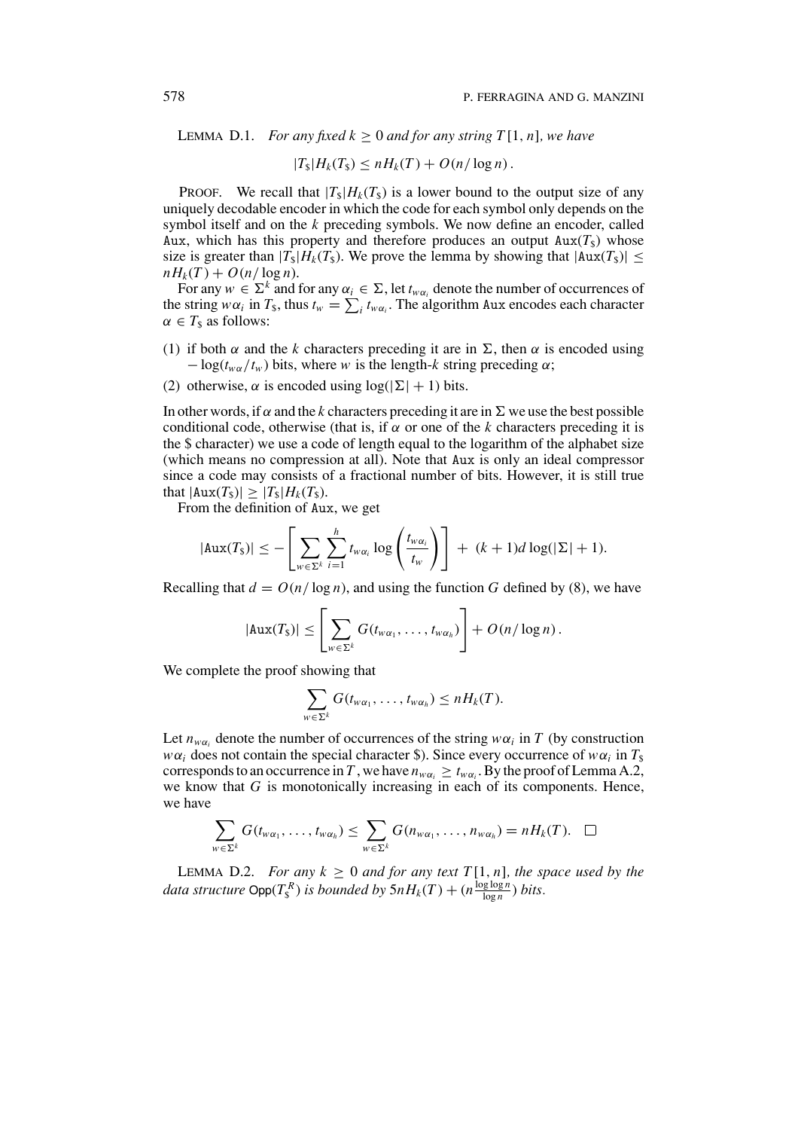**LEMMA D.1.** *For any fixed k > 0 and for any string T*[1, *n*]*, we have* 

 $|T_{\rm s}|H_k(T_{\rm s}) \leq nH_k(T) + O(n/\log n)$ .

**PROOF.** We recall that  $|T_s|H_k(T_s)$  is a lower bound to the output size of any uniquely decodable encoder in which the code for each symbol only depends on the symbol itself and on the *k* preceding symbols. We now define an encoder, called Aux, which has this property and therefore produces an output  $Aux(T<sub>s</sub>)$  whose size is greater than  $|T_s|H_k(T_s)$ . We prove the lemma by showing that  $|\text{Aux}(T_s)| \le$  $nH_k(T) + O(n/\log n)$ .

For any  $w \in \Sigma^k$  and for any  $\alpha_i \in \Sigma$ , let  $t_{w\alpha_i}$  denote the number of occurrences of the string  $w\alpha_i$  in  $T_s$ , thus  $t_w = \sum_i t_{w\alpha_i}$ . The algorithm Aux encodes each character  $\alpha \in T_{\$}$  as follows:

- (1) if both  $\alpha$  and the k characters preceding it are in  $\Sigma$ , then  $\alpha$  is encoded using  $-\log(t_{w\alpha}/t_w)$  bits, where *w* is the length-*k* string preceding  $\alpha$ ;
- (2) otherwise,  $\alpha$  is encoded using  $\log(|\Sigma| + 1)$  bits.

In other words, if  $\alpha$  and the *k* characters preceding it are in  $\Sigma$  we use the best possible conditional code, otherwise (that is, if  $\alpha$  or one of the *k* characters preceding it is the \$ character) we use a code of length equal to the logarithm of the alphabet size (which means no compression at all). Note that Aux is only an ideal compressor since a code may consists of a fractional number of bits. However, it is still true that  $|Aux(T_s)| > |T_s|H_k(T_s)$ .

From the definition of Aux, we get

$$
|\text{Aux}(T_{\text{s}})| \leq -\left[\sum_{w \in \Sigma^k} \sum_{i=1}^h t_{w\alpha_i} \log\left(\frac{t_{w\alpha_i}}{t_w}\right)\right] + (k+1)d\log(|\Sigma|+1).
$$

Recalling that  $d = O(n/\log n)$ , and using the function G defined by (8), we have

$$
|\mathrm{Aux}(T_{\$})| \leq \left[\sum_{w \in \Sigma^k} G(t_{w\alpha_1},\ldots,t_{w\alpha_h})\right] + O(n/\log n).
$$

We complete the proof showing that

$$
\sum_{w \in \Sigma^k} G(t_{w\alpha_1},\ldots,t_{w\alpha_h}) \leq nH_k(T).
$$

Let  $n_{w\alpha_i}$  denote the number of occurrences of the string  $w\alpha_i$  in *T* (by construction *w* $\alpha$ *i* does not contain the special character \$). Since every occurrence of *w* $\alpha$ *i* in *T*<sub>\$</sub> corresponds to an occurrence in *T*, we have  $n_{wa_i} \ge t_{wa_i}$ . By the proof of Lemma A.2, we know that *G* is monotonically increasing in each of its components. Hence, we have

$$
\sum_{w \in \Sigma^k} G(t_{w\alpha_1},\ldots,t_{w\alpha_h}) \leq \sum_{w \in \Sigma^k} G(n_{w\alpha_1},\ldots,n_{w\alpha_h}) = nH_k(T). \quad \Box
$$

LEMMA D.2. *For any*  $k \geq 0$  *and for any text*  $T[1, n]$ *, the space used by the data structure*  $\textsf{Opp}(T_{\S}^R)$  *is bounded by*  $5nH_k(T) + (n\frac{\log\log n}{\log n})$  *bits.*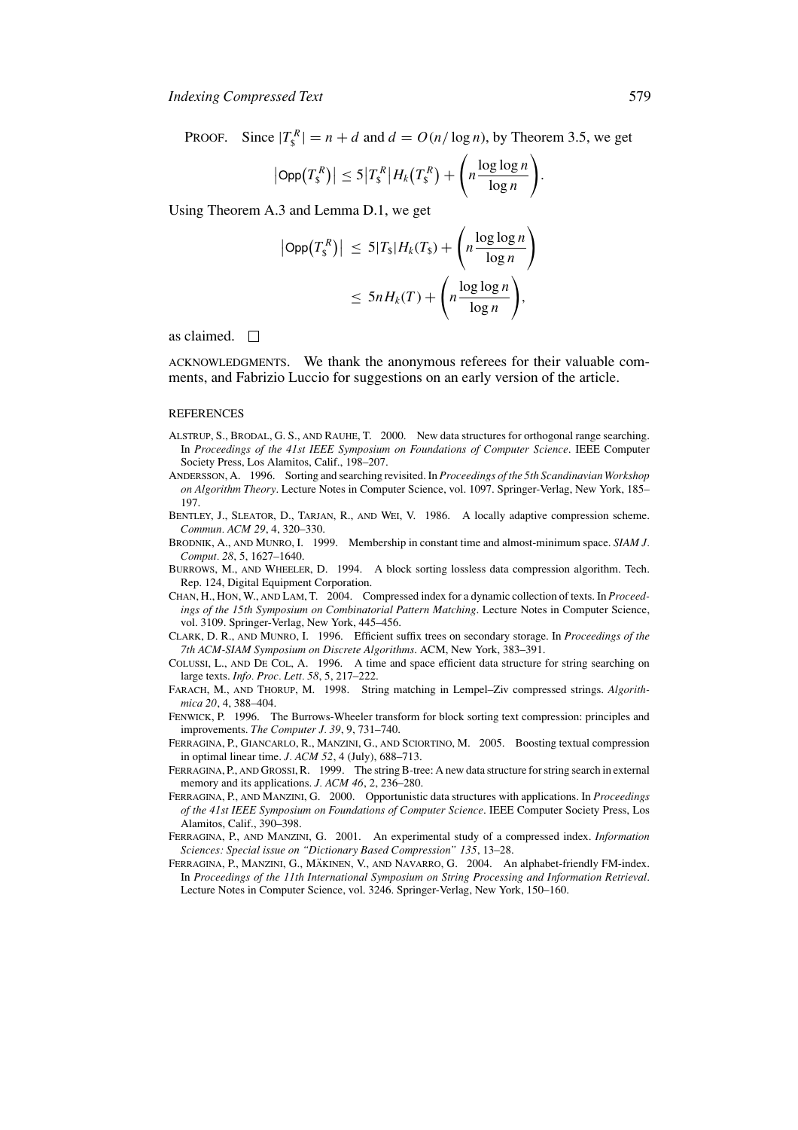PROOF. Since  $|T_s^R| = n + d$  and  $d = O(n/\log n)$ , by Theorem 3.5, we get

$$
|\mathsf{Opp}(T_{\mathsf{s}}^R)| \leq 5|T_{\mathsf{s}}^R|H_k(T_{\mathsf{s}}^R) + \left(n\frac{\log\log n}{\log n}\right).
$$

Using Theorem A.3 and Lemma D.1, we get

$$
\begin{aligned} \left| \mathsf{Opp}\big(T_{\mathsf{s}}^R\big) \right| &\leq 5|T_{\mathsf{s}}|H_k(T_{\mathsf{s}}) + \left( n \frac{\log \log n}{\log n} \right) \\ &\leq 5n H_k(T) + \left( n \frac{\log \log n}{\log n} \right), \end{aligned}
$$

as claimed.  $\square$ 

ACKNOWLEDGMENTS. We thank the anonymous referees for their valuable comments, and Fabrizio Luccio for suggestions on an early version of the article.

#### **REFERENCES**

- ALSTRUP, S., BRODAL, G. S., AND RAUHE, T. 2000. New data structures for orthogonal range searching. In *Proceedings of the 41st IEEE Symposium on Foundations of Computer Science*. IEEE Computer Society Press, Los Alamitos, Calif., 198–207.
- ANDERSSON, A. 1996. Sorting and searching revisited. In *Proceedings of the 5th Scandinavian Workshop on Algorithm Theory*. Lecture Notes in Computer Science, vol. 1097. Springer-Verlag, New York, 185– 197.
- BENTLEY, J., SLEATOR, D., TARJAN, R., AND WEI, V. 1986. A locally adaptive compression scheme. *Commun. ACM 29*, 4, 320–330.
- BRODNIK, A., AND MUNRO, I. 1999. Membership in constant time and almost-minimum space. *SIAM J. Comput. 28*, 5, 1627–1640.
- BURROWS, M., AND WHEELER, D. 1994. A block sorting lossless data compression algorithm. Tech. Rep. 124, Digital Equipment Corporation.
- CHAN, H., HON, W., AND LAM, T. 2004. Compressed index for a dynamic collection of texts. In *Proceedings of the 15th Symposium on Combinatorial Pattern Matching*. Lecture Notes in Computer Science, vol. 3109. Springer-Verlag, New York, 445–456.
- CLARK, D. R., AND MUNRO, I. 1996. Efficient suffix trees on secondary storage. In *Proceedings of the 7th ACM-SIAM Symposium on Discrete Algorithms*. ACM, New York, 383–391.
- COLUSSI, L., AND DE COL, A. 1996. A time and space efficient data structure for string searching on large texts. *Info. Proc. Lett. 58*, 5, 217–222.
- FARACH, M., AND THORUP, M. 1998. String matching in Lempel–Ziv compressed strings. *Algorithmica 20*, 4, 388–404.
- FENWICK, P. 1996. The Burrows-Wheeler transform for block sorting text compression: principles and improvements. *The Computer J. 39*, 9, 731–740.
- FERRAGINA, P., GIANCARLO, R., MANZINI, G., AND SCIORTINO, M. 2005. Boosting textual compression in optimal linear time. *J. ACM 52*, 4 (July), 688–713.
- FERRAGINA, P., AND GROSSI, R. 1999. The string B-tree: A new data structure for string search in external memory and its applications. *J. ACM 46*, 2, 236–280.
- FERRAGINA, P., AND MANZINI, G. 2000. Opportunistic data structures with applications. In *Proceedings of the 41st IEEE Symposium on Foundations of Computer Science*. IEEE Computer Society Press, Los Alamitos, Calif., 390–398.
- FERRAGINA, P., AND MANZINI, G. 2001. An experimental study of a compressed index. *Information Sciences: Special issue on "Dictionary Based Compression" 135*, 13–28.
- FERRAGINA, P., MANZINI, G., MÄKINEN, V., AND NAVARRO, G. 2004. An alphabet-friendly FM-index. In *Proceedings of the 11th International Symposium on String Processing and Information Retrieval*. Lecture Notes in Computer Science, vol. 3246. Springer-Verlag, New York, 150–160.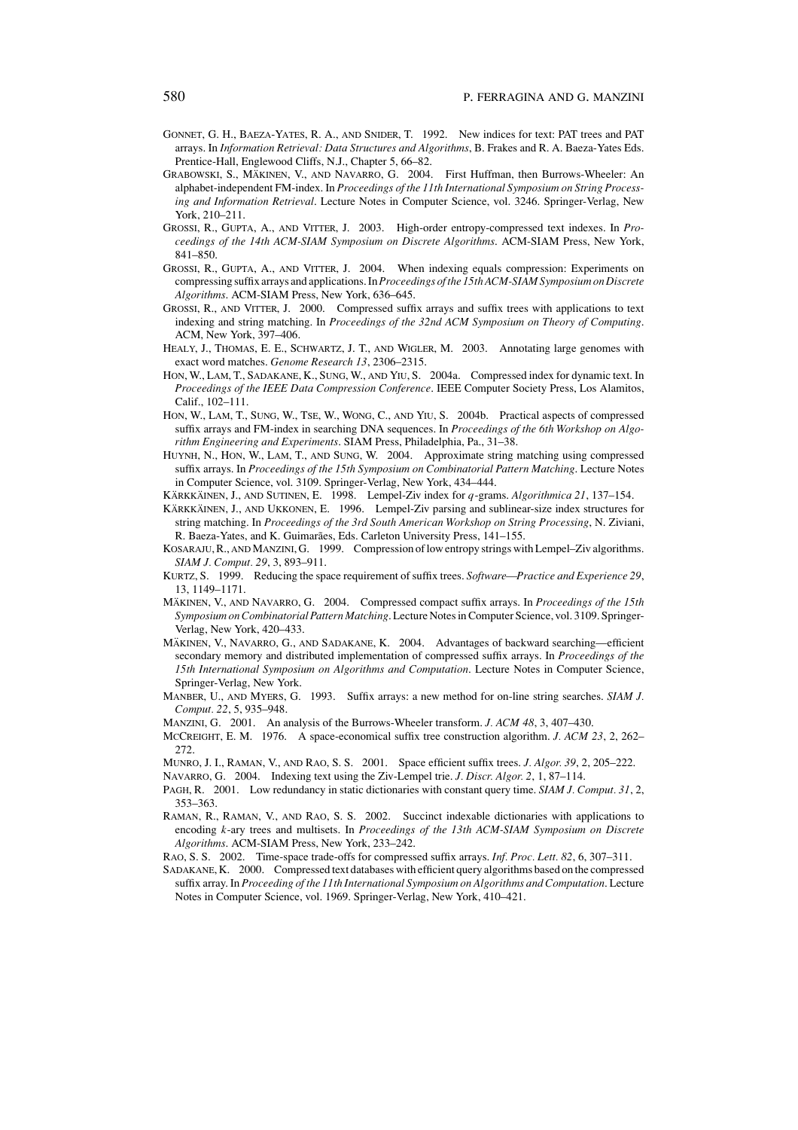- GONNET, G. H., BAEZA-YATES, R. A., AND SNIDER, T. 1992. New indices for text: PAT trees and PAT arrays. In *Information Retrieval: Data Structures and Algorithms*, B. Frakes and R. A. Baeza-Yates Eds. Prentice-Hall, Englewood Cliffs, N.J., Chapter 5, 66–82.
- GRABOWSKI, S., MÄKINEN, V., AND NAVARRO, G. 2004. First Huffman, then Burrows-Wheeler: An alphabet-independent FM-index. In *Proceedings of the 11th International Symposium on String Processing and Information Retrieval*. Lecture Notes in Computer Science, vol. 3246. Springer-Verlag, New York, 210–211.
- GROSSI, R., GUPTA, A., AND VITTER, J. 2003. High-order entropy-compressed text indexes. In *Proceedings of the 14th ACM-SIAM Symposium on Discrete Algorithms*. ACM-SIAM Press, New York, 841–850.
- GROSSI, R., GUPTA, A., AND VITTER, J. 2004. When indexing equals compression: Experiments on compressing suffix arrays and applications. In*Proceedings of the 15th ACM-SIAM Symposium on Discrete Algorithms*. ACM-SIAM Press, New York, 636–645.
- GROSSI, R., AND VITTER, J. 2000. Compressed suffix arrays and suffix trees with applications to text indexing and string matching. In *Proceedings of the 32nd ACM Symposium on Theory of Computing*. ACM, New York, 397–406.
- HEALY, J., THOMAS, E. E., SCHWARTZ, J. T., AND WIGLER, M. 2003. Annotating large genomes with exact word matches. *Genome Research 13*, 2306–2315.
- HON, W., LAM, T., SADAKANE, K., SUNG, W., AND YIU, S. 2004a. Compressed index for dynamic text. In *Proceedings of the IEEE Data Compression Conference*. IEEE Computer Society Press, Los Alamitos, Calif., 102–111.
- HON, W., LAM, T., SUNG, W., TSE, W., WONG, C., AND YIU, S. 2004b. Practical aspects of compressed suffix arrays and FM-index in searching DNA sequences. In *Proceedings of the 6th Workshop on Algorithm Engineering and Experiments*. SIAM Press, Philadelphia, Pa., 31–38.
- HUYNH, N., HON, W., LAM, T., AND SUNG, W. 2004. Approximate string matching using compressed suffix arrays. In *Proceedings of the 15th Symposium on Combinatorial Pattern Matching*. Lecture Notes in Computer Science, vol. 3109. Springer-Verlag, New York, 434–444.
- KÄRKKÄINEN, J., AND SUTINEN, E. 1998. Lempel-Ziv index for *q*-grams. *Algorithmica 21*, 137–154.
- KÄRKKÄINEN, J., AND UKKONEN, E. 1996. Lempel-Ziv parsing and sublinear-size index structures for string matching. In *Proceedings of the 3rd South American Workshop on String Processing*, N. Ziviani, R. Baeza-Yates, and K. Guimarães, Eds. Carleton University Press, 141-155.
- KOSARAJU, R., AND MANZINI, G. 1999. Compression of low entropy strings with Lempel–Ziv algorithms. *SIAM J. Comput. 29*, 3, 893–911.
- KURTZ, S. 1999. Reducing the space requirement of suffix trees. *Software—Practice and Experience 29*, 13, 1149–1171.
- MÄKINEN, V., AND NAVARRO, G. 2004. Compressed compact suffix arrays. In *Proceedings of the 15th Symposium on Combinatorial Pattern Matching*.Lecture Notes in Computer Science, vol. 3109. Springer-Verlag, New York, 420–433.
- MÄKINEN, V., NAVARRO, G., AND SADAKANE, K. 2004. Advantages of backward searching—efficient secondary memory and distributed implementation of compressed suffix arrays. In *Proceedings of the 15th International Symposium on Algorithms and Computation*. Lecture Notes in Computer Science, Springer-Verlag, New York.
- MANBER, U., AND MYERS, G. 1993. Suffix arrays: a new method for on-line string searches. *SIAM J. Comput. 22*, 5, 935–948.
- MANZINI, G. 2001. An analysis of the Burrows-Wheeler transform. *J. ACM 48*, 3, 407–430.
- MCCREIGHT, E. M. 1976. A space-economical suffix tree construction algorithm. *J. ACM 23*, 2, 262– 272.
- MUNRO, J. I., RAMAN, V., AND RAO, S. S. 2001. Space efficient suffix trees. *J. Algor. 39*, 2, 205–222.
- NAVARRO, G. 2004. Indexing text using the Ziv-Lempel trie. *J. Discr. Algor. 2*, 1, 87–114.
- PAGH, R. 2001. Low redundancy in static dictionaries with constant query time. *SIAM J. Comput. 31*, 2, 353–363.
- RAMAN, R., RAMAN, V., AND RAO, S. S. 2002. Succinct indexable dictionaries with applications to encoding *k*-ary trees and multisets. In *Proceedings of the 13th ACM-SIAM Symposium on Discrete Algorithms*. ACM-SIAM Press, New York, 233–242.
- RAO, S. S. 2002. Time-space trade-offs for compressed suffix arrays. *Inf. Proc. Lett. 82*, 6, 307–311.
- SADAKANE, K. 2000. Compressed text databases with efficient query algorithms based on the compressed suffix array. In *Proceeding of the 11th International Symposium on Algorithms and Computation*. Lecture Notes in Computer Science, vol. 1969. Springer-Verlag, New York, 410–421.